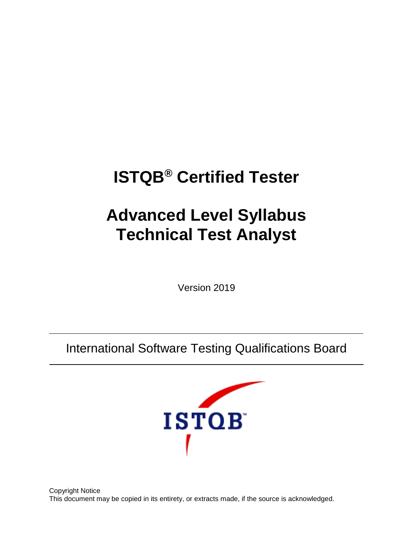# **ISTQB® Certified Tester**

# **Advanced Level Syllabus Technical Test Analyst**

Version 2019

International Software Testing Qualifications Board



Copyright Notice This document may be copied in its entirety, or extracts made, if the source is acknowledged.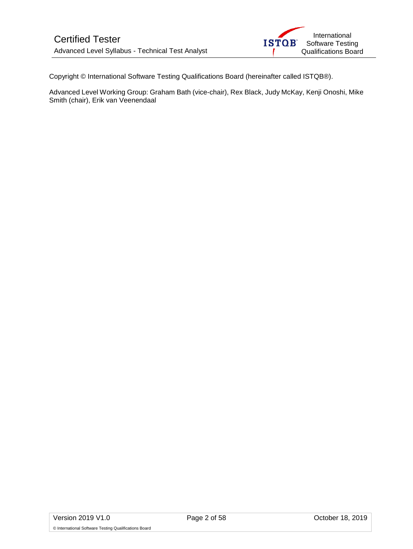Copyright © International Software Testing Qualifications Board (hereinafter called ISTQB®).

Advanced Level Working Group: Graham Bath (vice-chair), Rex Black, Judy McKay, Kenji Onoshi, Mike Smith (chair), Erik van Veenendaal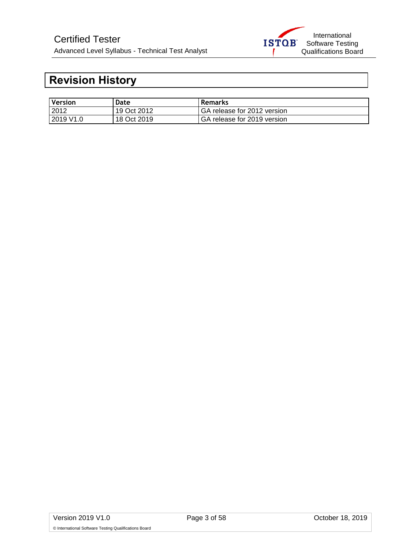## <span id="page-2-0"></span>**Revision History**

| Version               | Date        | <b>Remarks</b>              |
|-----------------------|-------------|-----------------------------|
| 2012                  | 19 Oct 2012 | GA release for 2012 version |
| 2019 V <sub>1.0</sub> | 18 Oct 2019 | GA release for 2019 version |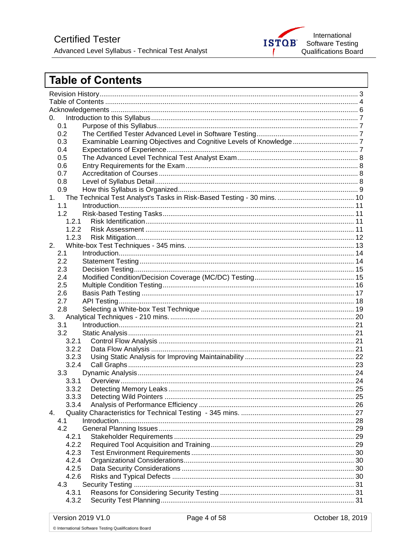

## <span id="page-3-0"></span>**Table of Contents**

| 0.             |    |  |  |
|----------------|----|--|--|
| 0.1            |    |  |  |
| 0.2            |    |  |  |
| 0.3            |    |  |  |
| 0.4            |    |  |  |
| 0.5            |    |  |  |
| 0.6            |    |  |  |
| 0.7            |    |  |  |
| 0.8            |    |  |  |
| 0.9            |    |  |  |
| 1.             |    |  |  |
| 1.1            |    |  |  |
| 1.2            |    |  |  |
| 1.2.1          |    |  |  |
| 1.2.2          |    |  |  |
| 1.2.3          |    |  |  |
| 2.             |    |  |  |
| 2.1            |    |  |  |
| 2.2            |    |  |  |
| 2.3            |    |  |  |
| 2.4            |    |  |  |
| 2.5            |    |  |  |
| 2.6            |    |  |  |
| 2.7            |    |  |  |
| 2.8            |    |  |  |
| 3.             |    |  |  |
| 3.1            |    |  |  |
| 3.2            |    |  |  |
| 3.2.1          |    |  |  |
| 3.2.2          |    |  |  |
| 3.2.3          |    |  |  |
| 3.2.4          |    |  |  |
| 3.3            |    |  |  |
| 3.3.1          |    |  |  |
| 3.3.2          |    |  |  |
|                |    |  |  |
| 3.3.3<br>3.3.4 | 25 |  |  |
|                |    |  |  |
| 4.             |    |  |  |
| 4.1<br>4.2     |    |  |  |
|                |    |  |  |
| 4.2.1          |    |  |  |
| 4.2.2          |    |  |  |
| 4.2.3          |    |  |  |
| 4.2.4          |    |  |  |
| 4.2.5          |    |  |  |
| 4.2.6          |    |  |  |
| 4.3            |    |  |  |
| 4.3.1          |    |  |  |
| 4.3.2          |    |  |  |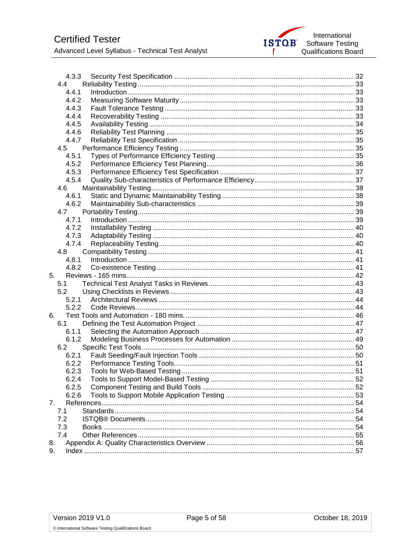Advanced Level Syllabus - Technical Test Analyst

|     | 4.3.3 |  |
|-----|-------|--|
| 4.4 |       |  |
|     | 4.4.1 |  |
|     | 4.4.2 |  |
|     | 4.4.3 |  |
|     | 4.4.4 |  |
|     | 4.4.5 |  |
|     | 4.4.6 |  |
|     | 4.4.7 |  |
| 4.5 |       |  |
|     | 4.5.1 |  |
|     | 4.5.2 |  |
|     | 4.5.3 |  |
|     | 4.5.4 |  |
| 4.6 |       |  |
|     | 4.6.1 |  |
|     | 4.6.2 |  |
| 4.7 |       |  |
|     | 4.7.1 |  |
|     | 4.7.2 |  |
|     | 4.7.3 |  |
|     | 4.7.4 |  |
| 4.8 |       |  |
|     | 4.8.1 |  |
|     | 4.8.2 |  |
| 5.  |       |  |
| 5.1 |       |  |
| 5.2 |       |  |
|     | 5.2.1 |  |
|     | 5.2.2 |  |
| 6.  |       |  |
| 6.1 |       |  |
|     | 6.1.1 |  |
|     | 6.1.2 |  |
| 6.2 |       |  |
|     | 6.2.1 |  |
|     | 6.2.2 |  |
|     | 6.2.3 |  |
|     | 6.2.4 |  |
|     | 6.2.5 |  |
|     | 6.2.6 |  |
|     |       |  |
| 7.  |       |  |
| 7.1 |       |  |
| 7.2 |       |  |
| 7.3 |       |  |
| 7.4 |       |  |
| 8.  |       |  |
| 9.  |       |  |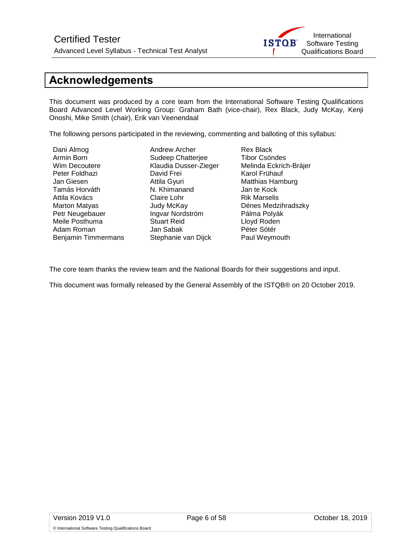

## <span id="page-5-0"></span>**Acknowledgements**

This document was produced by a core team from the International Software Testing Qualifications Board Advanced Level Working Group: Graham Bath (vice-chair), Rex Black, Judy McKay, Kenji Onoshi, Mike Smith (chair), Erik van Veenendaal

The following persons participated in the reviewing, commenting and balloting of this syllabus:

Armin Born Sudeep Chatterjee<br>
Wim Decoutere Tibor Chaudia Dusser-Zie Adam Roman Benjamin Timmermans Stephanie van Dijck Paul Weymouth

Dani Almog Andrew Archer Rex Black Peter Foldhazi David Frei Karol Frühauf Attila Gyuri **Matthias Hamburg**<br> **N. Khimanand** M. Khamanand M. Kock Tamás Horváth N. Khimanand Jan te Kock Attila Kovács Claire Lohr Rik Marselis Petr Neugebauer **Ingvar Nordström** Pálma Polyák Meile Posthuma Stuart Reid Lloyd Roden

Klaudia Dusser-Zieger Melinda Eckrich-Brájer Dénes Medzihradszky

The core team thanks the review team and the National Boards for their suggestions and input.

This document was formally released by the General Assembly of the ISTQB® on 20 October 2019.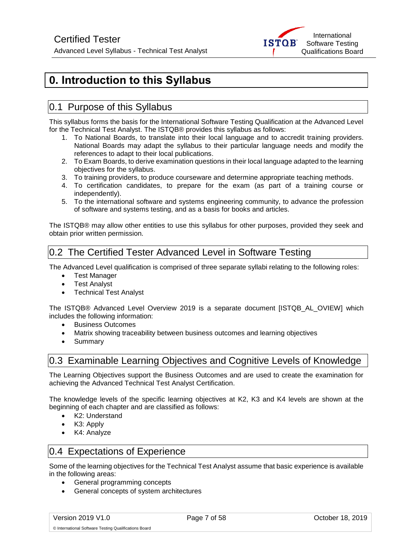

## <span id="page-6-0"></span>**0. Introduction to this Syllabus**

## <span id="page-6-1"></span>0.1 Purpose of this Syllabus

This syllabus forms the basis for the International Software Testing Qualification at the Advanced Level for the Technical Test Analyst. The ISTQB® provides this syllabus as follows:

- 1. To National Boards, to translate into their local language and to accredit training providers. National Boards may adapt the syllabus to their particular language needs and modify the references to adapt to their local publications.
- 2. To Exam Boards, to derive examination questions in their local language adapted to the learning objectives for the syllabus.
- 3. To training providers, to produce courseware and determine appropriate teaching methods.
- 4. To certification candidates, to prepare for the exam (as part of a training course or independently).
- 5. To the international software and systems engineering community, to advance the profession of software and systems testing, and as a basis for books and articles.

The ISTQB® may allow other entities to use this syllabus for other purposes, provided they seek and obtain prior written permission.

## <span id="page-6-2"></span>0.2 The Certified Tester Advanced Level in Software Testing

The Advanced Level qualification is comprised of three separate syllabi relating to the following roles:

- Test Manager
- **Test Analyst**
- Technical Test Analyst

The ISTQB® Advanced Level Overview 2019 is a separate document [ISTQB\_AL\_OVIEW] which includes the following information:

- Business Outcomes
- Matrix showing traceability between business outcomes and learning objectives
- Summary

## <span id="page-6-3"></span>0.3 Examinable Learning Objectives and Cognitive Levels of Knowledge

The Learning Objectives support the Business Outcomes and are used to create the examination for achieving the Advanced Technical Test Analyst Certification.

The knowledge levels of the specific learning objectives at K2, K3 and K4 levels are shown at the beginning of each chapter and are classified as follows:

- K2: Understand
- K3: Apply
- K4: Analyze

## <span id="page-6-4"></span>0.4 Expectations of Experience

Some of the learning objectives for the Technical Test Analyst assume that basic experience is available in the following areas:

- General programming concepts
- General concepts of system architectures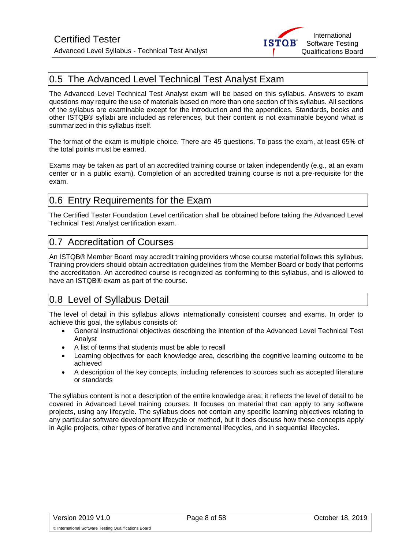

## <span id="page-7-0"></span>0.5 The Advanced Level Technical Test Analyst Exam

The Advanced Level Technical Test Analyst exam will be based on this syllabus. Answers to exam questions may require the use of materials based on more than one section of this syllabus. All sections of the syllabus are examinable except for the introduction and the appendices. Standards, books and other ISTQB® syllabi are included as references, but their content is not examinable beyond what is summarized in this syllabus itself.

The format of the exam is multiple choice. There are 45 questions. To pass the exam, at least 65% of the total points must be earned.

Exams may be taken as part of an accredited training course or taken independently (e.g., at an exam center or in a public exam). Completion of an accredited training course is not a pre-requisite for the exam.

## <span id="page-7-1"></span>0.6 Entry Requirements for the Exam

The Certified Tester Foundation Level certification shall be obtained before taking the Advanced Level Technical Test Analyst certification exam.

## <span id="page-7-2"></span>0.7 Accreditation of Courses

An ISTQB® Member Board may accredit training providers whose course material follows this syllabus. Training providers should obtain accreditation guidelines from the Member Board or body that performs the accreditation. An accredited course is recognized as conforming to this syllabus, and is allowed to have an ISTQB® exam as part of the course.

## <span id="page-7-3"></span>0.8 Level of Syllabus Detail

The level of detail in this syllabus allows internationally consistent courses and exams. In order to achieve this goal, the syllabus consists of:

- General instructional objectives describing the intention of the Advanced Level Technical Test Analyst
- A list of terms that students must be able to recall
- Learning objectives for each knowledge area, describing the cognitive learning outcome to be achieved
- A description of the key concepts, including references to sources such as accepted literature or standards

The syllabus content is not a description of the entire knowledge area; it reflects the level of detail to be covered in Advanced Level training courses. It focuses on material that can apply to any software projects, using any lifecycle. The syllabus does not contain any specific learning objectives relating to any particular software development lifecycle or method, but it does discuss how these concepts apply in Agile projects, other types of iterative and incremental lifecycles, and in sequential lifecycles.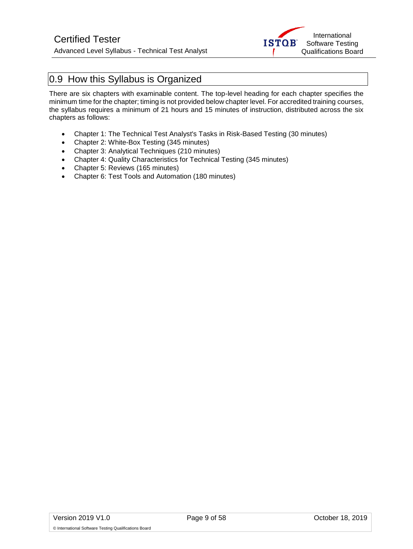

## <span id="page-8-0"></span>0.9 How this Syllabus is Organized

There are six chapters with examinable content. The top-level heading for each chapter specifies the minimum time for the chapter; timing is not provided below chapter level. For accredited training courses, the syllabus requires a minimum of 21 hours and 15 minutes of instruction, distributed across the six chapters as follows:

- Chapter 1: The Technical Test Analyst's Tasks in Risk-Based Testing (30 minutes)
- Chapter 2: White-Box Testing (345 minutes)
- Chapter 3: Analytical Techniques (210 minutes)
- Chapter 4: Quality Characteristics for Technical Testing (345 minutes)
- Chapter 5: Reviews (165 minutes)
- Chapter 6: Test Tools and Automation (180 minutes)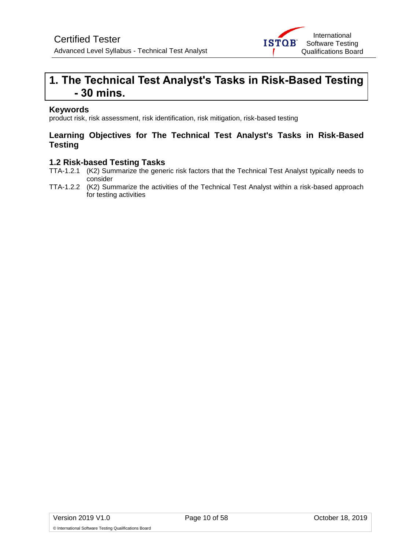

## <span id="page-9-0"></span>**1. The Technical Test Analyst's Tasks in Risk-Based Testing - 30 mins.**

#### **Keywords**

product risk, risk assessment, risk identification, risk mitigation, risk-based testing

#### **Learning Objectives for The Technical Test Analyst's Tasks in Risk-Based Testing**

#### **1.2 Risk-based Testing Tasks**

- TTA-1.2.1 (K2) Summarize the generic risk factors that the Technical Test Analyst typically needs to consider
- TTA-1.2.2 (K2) Summarize the activities of the Technical Test Analyst within a risk-based approach for testing activities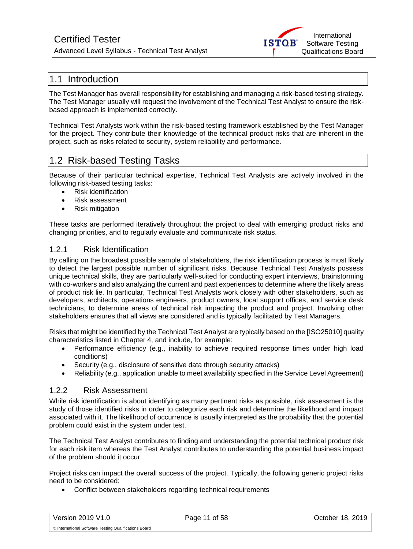## Certified Tester

Advanced Level Syllabus - Technical Test Analyst



## <span id="page-10-0"></span>1.1 Introduction

The Test Manager has overall responsibility for establishing and managing a risk-based testing strategy. The Test Manager usually will request the involvement of the Technical Test Analyst to ensure the riskbased approach is implemented correctly.

Technical Test Analysts work within the risk-based testing framework established by the Test Manager for the project. They contribute their knowledge of the technical product risks that are inherent in the project, such as risks related to security, system reliability and performance.

## <span id="page-10-1"></span>1.2 Risk-based Testing Tasks

Because of their particular technical expertise, Technical Test Analysts are actively involved in the following risk-based testing tasks:

- Risk identification
- Risk assessment
- Risk mitigation

These tasks are performed iteratively throughout the project to deal with emerging product risks and changing priorities, and to regularly evaluate and communicate risk status.

#### <span id="page-10-2"></span>1.2.1 Risk Identification

By calling on the broadest possible sample of stakeholders, the risk identification process is most likely to detect the largest possible number of significant risks. Because Technical Test Analysts possess unique technical skills, they are particularly well-suited for conducting expert interviews, brainstorming with co-workers and also analyzing the current and past experiences to determine where the likely areas of product risk lie. In particular, Technical Test Analysts work closely with other stakeholders, such as developers, architects, operations engineers, product owners, local support offices, and service desk technicians, to determine areas of technical risk impacting the product and project. Involving other stakeholders ensures that all views are considered and is typically facilitated by Test Managers.

Risks that might be identified by the Technical Test Analyst are typically based on the [ISO25010] quality characteristics listed in Chapter 4, and include, for example:

- Performance efficiency (e.g., inability to achieve required response times under high load conditions)
- Security (e.g., disclosure of sensitive data through security attacks)
- Reliability (e.g., application unable to meet availability specified in the Service Level Agreement)

#### <span id="page-10-3"></span>1.2.2 Risk Assessment

While risk identification is about identifying as many pertinent risks as possible, risk assessment is the study of those identified risks in order to categorize each risk and determine the likelihood and impact associated with it. The likelihood of occurrence is usually interpreted as the probability that the potential problem could exist in the system under test.

The Technical Test Analyst contributes to finding and understanding the potential technical product risk for each risk item whereas the Test Analyst contributes to understanding the potential business impact of the problem should it occur.

Project risks can impact the overall success of the project. Typically, the following generic project risks need to be considered:

• Conflict between stakeholders regarding technical requirements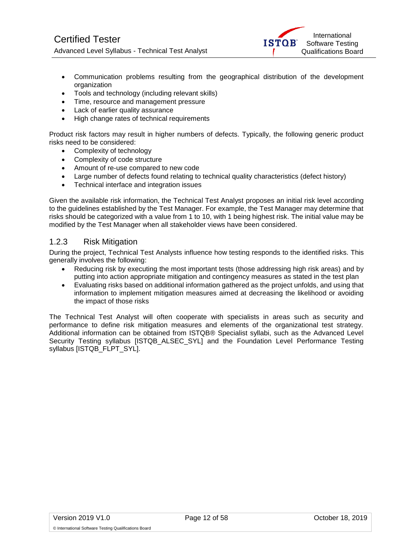

- Communication problems resulting from the geographical distribution of the development organization
- Tools and technology (including relevant skills)
- Time, resource and management pressure
- Lack of earlier quality assurance
- High change rates of technical requirements

Product risk factors may result in higher numbers of defects. Typically, the following generic product risks need to be considered:

- Complexity of technology
- Complexity of code structure
- Amount of re-use compared to new code
- Large number of defects found relating to technical quality characteristics (defect history)
- Technical interface and integration issues

Given the available risk information, the Technical Test Analyst proposes an initial risk level according to the guidelines established by the Test Manager. For example, the Test Manager may determine that risks should be categorized with a value from 1 to 10, with 1 being highest risk. The initial value may be modified by the Test Manager when all stakeholder views have been considered.

#### <span id="page-11-0"></span>1.2.3 Risk Mitigation

During the project, Technical Test Analysts influence how testing responds to the identified risks. This generally involves the following:

- Reducing risk by executing the most important tests (those addressing high risk areas) and by putting into action appropriate mitigation and contingency measures as stated in the test plan
- Evaluating risks based on additional information gathered as the project unfolds, and using that information to implement mitigation measures aimed at decreasing the likelihood or avoiding the impact of those risks

The Technical Test Analyst will often cooperate with specialists in areas such as security and performance to define risk mitigation measures and elements of the organizational test strategy. Additional information can be obtained from ISTQB® Specialist syllabi, such as the Advanced Level Security Testing syllabus [ISTQB\_ALSEC\_SYL] and the Foundation Level Performance Testing syllabus [ISTQB\_FLPT\_SYL].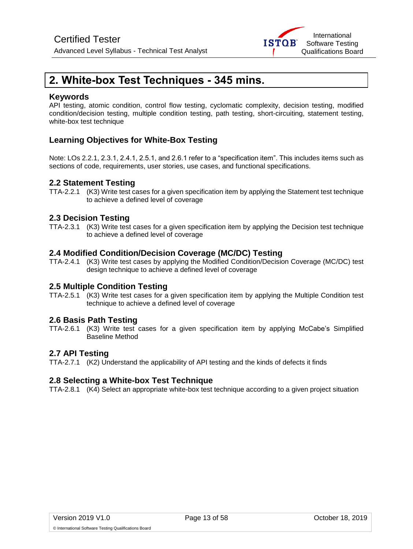

## <span id="page-12-0"></span>**2. White-box Test Techniques - 345 mins.**

#### **Keywords**

API testing, atomic condition, control flow testing, cyclomatic complexity, decision testing, modified condition/decision testing, multiple condition testing, path testing, short-circuiting, statement testing, white-box test technique

### **Learning Objectives for White-Box Testing**

Note: LOs 2.2.1, 2.3.1, 2.4.1, 2.5.1, and 2.6.1 refer to a "specification item". This includes items such as sections of code, requirements, user stories, use cases, and functional specifications.

#### **2.2 Statement Testing**

TTA-2.2.1 (K3) Write test cases for a given specification item by applying the Statement test technique to achieve a defined level of coverage

#### **2.3 Decision Testing**

TTA-2.3.1 (K3) Write test cases for a given specification item by applying the Decision test technique to achieve a defined level of coverage

#### **2.4 Modified Condition/Decision Coverage (MC/DC) Testing**

TTA-2.4.1 (K3) Write test cases by applying the Modified Condition/Decision Coverage (MC/DC) test design technique to achieve a defined level of coverage

#### **2.5 Multiple Condition Testing**

TTA-2.5.1 (K3) Write test cases for a given specification item by applying the Multiple Condition test technique to achieve a defined level of coverage

#### **2.6 Basis Path Testing**

TTA-2.6.1 (K3) Write test cases for a given specification item by applying McCabe's Simplified Baseline Method

#### **2.7 API Testing**

TTA-2.7.1 (K2) Understand the applicability of API testing and the kinds of defects it finds

#### **2.8 Selecting a White-box Test Technique**

TTA-2.8.1 (K4) Select an appropriate white-box test technique according to a given project situation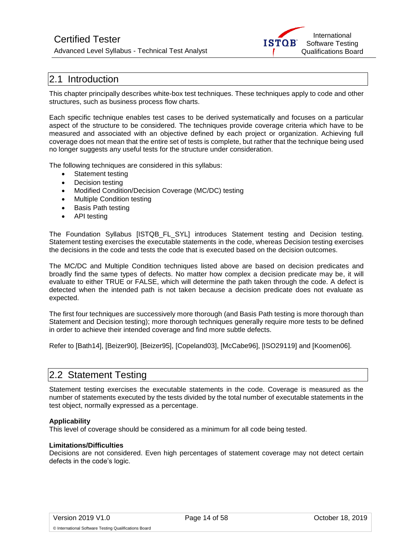## Certified Tester

Advanced Level Syllabus - Technical Test Analyst



## <span id="page-13-0"></span>2.1 Introduction

This chapter principally describes white-box test techniques. These techniques apply to code and other structures, such as business process flow charts.

Each specific technique enables test cases to be derived systematically and focuses on a particular aspect of the structure to be considered. The techniques provide coverage criteria which have to be measured and associated with an objective defined by each project or organization. Achieving full coverage does not mean that the entire set of tests is complete, but rather that the technique being used no longer suggests any useful tests for the structure under consideration.

The following techniques are considered in this syllabus:

- Statement testing
- Decision testing
- Modified Condition/Decision Coverage (MC/DC) testing
- Multiple Condition testing
- Basis Path testing
- API testing

The Foundation Syllabus [ISTQB\_FL\_SYL] introduces Statement testing and Decision testing. Statement testing exercises the executable statements in the code, whereas Decision testing exercises the decisions in the code and tests the code that is executed based on the decision outcomes.

The MC/DC and Multiple Condition techniques listed above are based on decision predicates and broadly find the same types of defects. No matter how complex a decision predicate may be, it will evaluate to either TRUE or FALSE, which will determine the path taken through the code. A defect is detected when the intended path is not taken because a decision predicate does not evaluate as expected.

The first four techniques are successively more thorough (and Basis Path testing is more thorough than Statement and Decision testing); more thorough techniques generally require more tests to be defined in order to achieve their intended coverage and find more subtle defects.

Refer to [Bath14], [Beizer90], [Beizer95], [Copeland03], [McCabe96], [ISO29119] and [Koomen06].

## <span id="page-13-1"></span>2.2 Statement Testing

Statement testing exercises the executable statements in the code. Coverage is measured as the number of statements executed by the tests divided by the total number of executable statements in the test object, normally expressed as a percentage.

#### **Applicability**

This level of coverage should be considered as a minimum for all code being tested.

#### **Limitations/Difficulties**

Decisions are not considered. Even high percentages of statement coverage may not detect certain defects in the code's logic.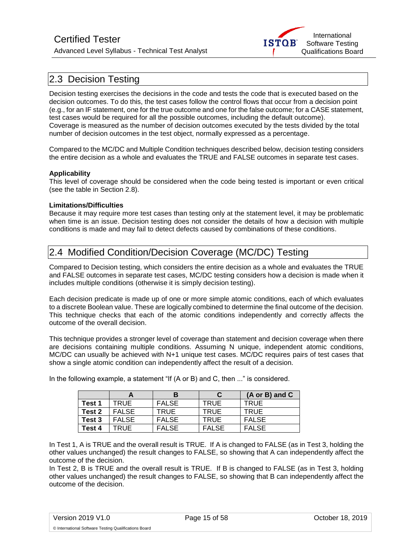

## <span id="page-14-0"></span>2.3 Decision Testing

Decision testing exercises the decisions in the code and tests the code that is executed based on the decision outcomes. To do this, the test cases follow the control flows that occur from a decision point (e.g., for an IF statement, one for the true outcome and one for the false outcome; for a CASE statement, test cases would be required for all the possible outcomes, including the default outcome). Coverage is measured as the number of decision outcomes executed by the tests divided by the total number of decision outcomes in the test object, normally expressed as a percentage.

Compared to the MC/DC and Multiple Condition techniques described below, decision testing considers the entire decision as a whole and evaluates the TRUE and FALSE outcomes in separate test cases.

#### **Applicability**

This level of coverage should be considered when the code being tested is important or even critical (see the table in Section 2.8).

#### **Limitations/Difficulties**

Because it may require more test cases than testing only at the statement level, it may be problematic when time is an issue. Decision testing does not consider the details of how a decision with multiple conditions is made and may fail to detect defects caused by combinations of these conditions.

## <span id="page-14-1"></span>2.4 Modified Condition/Decision Coverage (MC/DC) Testing

Compared to Decision testing, which considers the entire decision as a whole and evaluates the TRUE and FALSE outcomes in separate test cases, MC/DC testing considers how a decision is made when it includes multiple conditions (otherwise it is simply decision testing).

Each decision predicate is made up of one or more simple atomic conditions, each of which evaluates to a discrete Boolean value. These are logically combined to determine the final outcome of the decision. This technique checks that each of the atomic conditions independently and correctly affects the outcome of the overall decision.

This technique provides a stronger level of coverage than statement and decision coverage when there are decisions containing multiple conditions. Assuming N unique, independent atomic conditions, MC/DC can usually be achieved with N+1 unique test cases. MC/DC requires pairs of test cases that show a single atomic condition can independently affect the result of a decision.

|        |              |              |              | $(A \text{ or } B)$ and $C$ |
|--------|--------------|--------------|--------------|-----------------------------|
| Test 1 | TRUE         | <b>FALSE</b> | TRUE         | <b>TRUE</b>                 |
| Test 2 | <b>FALSE</b> | TRUE         | TRUE         | <b>TRUE</b>                 |
| Test 3 | <b>FALSE</b> | <b>FALSE</b> | TRUE         | <b>FALSE</b>                |
| Test 4 | TRUE         | <b>FALSE</b> | <b>FALSE</b> | <b>FALSE</b>                |

In the following example, a statement "If (A or B) and C, then ..." is considered.

In Test 1, A is TRUE and the overall result is TRUE. If A is changed to FALSE (as in Test 3, holding the other values unchanged) the result changes to FALSE, so showing that A can independently affect the outcome of the decision.

In Test 2, B is TRUE and the overall result is TRUE. If B is changed to FALSE (as in Test 3, holding other values unchanged) the result changes to FALSE, so showing that B can independently affect the outcome of the decision.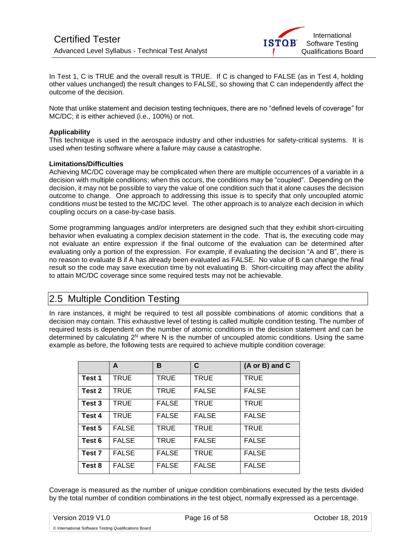

In Test 1, C is TRUE and the overall result is TRUE. If C is changed to FALSE (as in Test 4, holding other values unchanged) the result changes to FALSE, so showing that C can independently affect the outcome of the decision.

Note that unlike statement and decision testing techniques, there are no "defined levels of coverage" for MC/DC; it is either achieved (i.e., 100%) or not.

#### **Applicability**

This technique is used in the aerospace industry and other industries for safety-critical systems. It is used when testing software where a failure may cause a catastrophe.

#### **Limitations/Difficulties**

Achieving MC/DC coverage may be complicated when there are multiple occurrences of a variable in a decision with multiple conditions; when this occurs, the conditions may be "coupled". Depending on the decision, it may not be possible to vary the value of one condition such that it alone causes the decision outcome to change. One approach to addressing this issue is to specify that only uncoupled atomic conditions must be tested to the MC/DC level. The other approach is to analyze each decision in which coupling occurs on a case-by-case basis.

Some programming languages and/or interpreters are designed such that they exhibit short-circuiting behavior when evaluating a complex decision statement in the code. That is, the executing code may not evaluate an entire expression if the final outcome of the evaluation can be determined after evaluating only a portion of the expression. For example, if evaluating the decision "A and B", there is no reason to evaluate B if A has already been evaluated as FALSE. No value of B can change the final result so the code may save execution time by not evaluating B. Short-circuiting may affect the ability to attain MC/DC coverage since some required tests may not be achievable.

## <span id="page-15-0"></span>2.5 Multiple Condition Testing

In rare instances, it might be required to test all possible combinations of atomic conditions that a decision may contain. This exhaustive level of testing is called multiple condition testing. The number of required tests is dependent on the number of atomic conditions in the decision statement and can be determined by calculating 2<sup>N</sup> where N is the number of uncoupled atomic conditions. Using the same example as before, the following tests are required to achieve multiple condition coverage:

|                   | A            | B            | C            | (A or B) and C |
|-------------------|--------------|--------------|--------------|----------------|
| Test 1            | TRUE         | TRUE         | <b>TRUE</b>  | <b>TRUE</b>    |
| Test 2            | TRUE         | TRUE         | <b>FALSE</b> | <b>FALSE</b>   |
| Test 3            | TRUE         | <b>FALSE</b> | <b>TRUE</b>  | <b>TRUE</b>    |
| Test 4            | TRUE         | <b>FALSE</b> | <b>FALSE</b> | <b>FALSE</b>   |
| Test 5            | <b>FALSE</b> | TRUE         | <b>TRUE</b>  | <b>TRUE</b>    |
| Test 6            | <b>FALSE</b> | TRUE         | <b>FALSE</b> | <b>FALSE</b>   |
| Test <sub>7</sub> | <b>FALSE</b> | <b>FALSE</b> | TRUE         | <b>FALSE</b>   |
| Test 8            | <b>FALSE</b> | <b>FALSE</b> | <b>FALSE</b> | <b>FALSE</b>   |

Coverage is measured as the number of unique condition combinations executed by the tests divided by the total number of condition combinations in the test object, normally expressed as a percentage.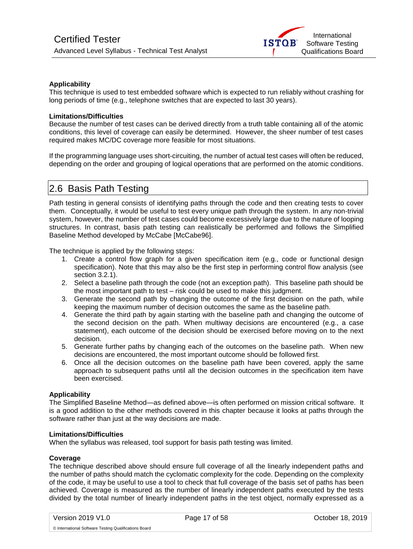#### **Applicability**

This technique is used to test embedded software which is expected to run reliably without crashing for long periods of time (e.g., telephone switches that are expected to last 30 years).

#### **Limitations/Difficulties**

Because the number of test cases can be derived directly from a truth table containing all of the atomic conditions, this level of coverage can easily be determined. However, the sheer number of test cases required makes MC/DC coverage more feasible for most situations.

If the programming language uses short-circuiting, the number of actual test cases will often be reduced, depending on the order and grouping of logical operations that are performed on the atomic conditions.

### <span id="page-16-0"></span>2.6 Basis Path Testing

Path testing in general consists of identifying paths through the code and then creating tests to cover them. Conceptually, it would be useful to test every unique path through the system. In any non-trivial system, however, the number of test cases could become excessively large due to the nature of looping structures. In contrast, basis path testing can realistically be performed and follows the Simplified Baseline Method developed by McCabe [McCabe96].

The technique is applied by the following steps:

- 1. Create a control flow graph for a given specification item (e.g., code or functional design specification). Note that this may also be the first step in performing control flow analysis (see section 3.2.1).
- 2. Select a baseline path through the code (not an exception path). This baseline path should be the most important path to test – risk could be used to make this judgment.
- 3. Generate the second path by changing the outcome of the first decision on the path, while keeping the maximum number of decision outcomes the same as the baseline path.
- 4. Generate the third path by again starting with the baseline path and changing the outcome of the second decision on the path. When multiway decisions are encountered (e.g., a case statement), each outcome of the decision should be exercised before moving on to the next decision.
- 5. Generate further paths by changing each of the outcomes on the baseline path. When new decisions are encountered, the most important outcome should be followed first.
- 6. Once all the decision outcomes on the baseline path have been covered, apply the same approach to subsequent paths until all the decision outcomes in the specification item have been exercised.

#### **Applicability**

The Simplified Baseline Method—as defined above—is often performed on mission critical software. It is a good addition to the other methods covered in this chapter because it looks at paths through the software rather than just at the way decisions are made.

#### **Limitations/Difficulties**

When the syllabus was released, tool support for basis path testing was limited.

#### **Coverage**

The technique described above should ensure full coverage of all the linearly independent paths and the number of paths should match the cyclomatic complexity for the code. Depending on the complexity of the code, it may be useful to use a tool to check that full coverage of the basis set of paths has been achieved. Coverage is measured as the number of linearly independent paths executed by the tests divided by the total number of linearly independent paths in the test object, normally expressed as a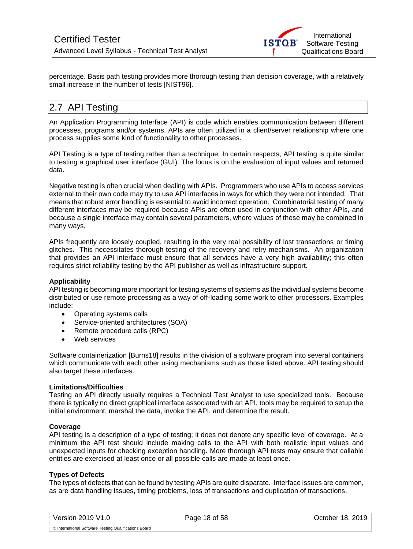

percentage. Basis path testing provides more thorough testing than decision coverage, with a relatively small increase in the number of tests [NIST96].

## <span id="page-17-0"></span>2.7 API Testing

An Application Programming Interface (API) is code which enables communication between different processes, programs and/or systems. APIs are often utilized in a client/server relationship where one process supplies some kind of functionality to other processes.

API Testing is a type of testing rather than a technique. In certain respects, API testing is quite similar to testing a graphical user interface (GUI). The focus is on the evaluation of input values and returned data.

Negative testing is often crucial when dealing with APIs. Programmers who use APIs to access services external to their own code may try to use API interfaces in ways for which they were not intended. That means that robust error handling is essential to avoid incorrect operation. Combinatorial testing of many different interfaces may be required because APIs are often used in conjunction with other APIs, and because a single interface may contain several parameters, where values of these may be combined in many ways.

APIs frequently are loosely coupled, resulting in the very real possibility of lost transactions or timing glitches. This necessitates thorough testing of the recovery and retry mechanisms. An organization that provides an API interface must ensure that all services have a very high availability; this often requires strict reliability testing by the API publisher as well as infrastructure support.

#### **Applicability**

API testing is becoming more important for testing systems of systems as the individual systems become distributed or use remote processing as a way of off-loading some work to other processors. Examples include:

- Operating systems calls
- Service-oriented architectures (SOA)
- Remote procedure calls (RPC)
- Web services

Software containerization [Burns18] results in the division of a software program into several containers which communicate with each other using mechanisms such as those listed above. API testing should also target these interfaces.

#### **Limitations/Difficulties**

Testing an API directly usually requires a Technical Test Analyst to use specialized tools. Because there is typically no direct graphical interface associated with an API, tools may be required to setup the initial environment, marshal the data, invoke the API, and determine the result.

#### **Coverage**

API testing is a description of a type of testing; it does not denote any specific level of coverage. At a minimum the API test should include making calls to the API with both realistic input values and unexpected inputs for checking exception handling. More thorough API tests may ensure that callable entities are exercised at least once or all possible calls are made at least once.

#### **Types of Defects**

The types of defects that can be found by testing APIs are quite disparate. Interface issues are common, as are data handling issues, timing problems, loss of transactions and duplication of transactions.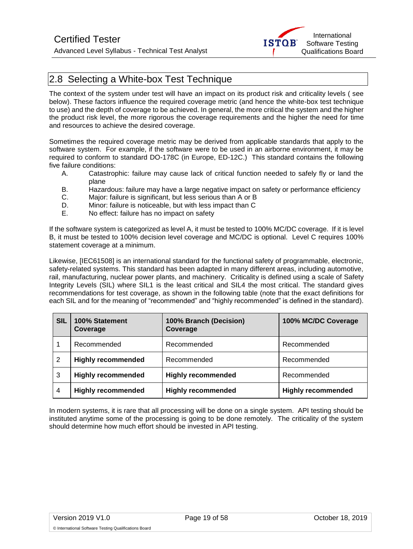

## <span id="page-18-0"></span>2.8 Selecting a White-box Test Technique

The context of the system under test will have an impact on its product risk and criticality levels ( see below). These factors influence the required coverage metric (and hence the white-box test technique to use) and the depth of coverage to be achieved. In general, the more critical the system and the higher the product risk level, the more rigorous the coverage requirements and the higher the need for time and resources to achieve the desired coverage.

Sometimes the required coverage metric may be derived from applicable standards that apply to the software system. For example, if the software were to be used in an airborne environment, it may be required to conform to standard DO-178C (in Europe, ED-12C.) This standard contains the following five failure conditions:

- A. Catastrophic: failure may cause lack of critical function needed to safely fly or land the plane
- B. Hazardous: failure may have a large negative impact on safety or performance efficiency
- C. Major: failure is significant, but less serious than A or B
- D. Minor: failure is noticeable, but with less impact than C<br>F No effect: failure has no impact on safety
- No effect: failure has no impact on safety

If the software system is categorized as level A, it must be tested to 100% MC/DC coverage. If it is level B, it must be tested to 100% decision level coverage and MC/DC is optional. Level C requires 100% statement coverage at a minimum.

Likewise, [IEC61508] is an international standard for the functional safety of programmable, electronic, safety-related systems. This standard has been adapted in many different areas, including automotive, rail, manufacturing, nuclear power plants, and machinery. Criticality is defined using a scale of Safety Integrity Levels (SIL) where SIL1 is the least critical and SIL4 the most critical. The standard gives recommendations for test coverage, as shown in the following table (note that the exact definitions for each SIL and for the meaning of "recommended" and "highly recommended" is defined in the standard).

| <b>SIL</b>     | 100% Statement<br>Coverage | 100% Branch (Decision)<br>Coverage | 100% MC/DC Coverage       |
|----------------|----------------------------|------------------------------------|---------------------------|
|                | Recommended                | Recommended                        | Recommended               |
| 2              | <b>Highly recommended</b>  | Recommended                        | Recommended               |
| 3              | <b>Highly recommended</b>  | <b>Highly recommended</b>          | Recommended               |
| $\overline{4}$ | <b>Highly recommended</b>  | <b>Highly recommended</b>          | <b>Highly recommended</b> |

In modern systems, it is rare that all processing will be done on a single system. API testing should be instituted anytime some of the processing is going to be done remotely. The criticality of the system should determine how much effort should be invested in API testing.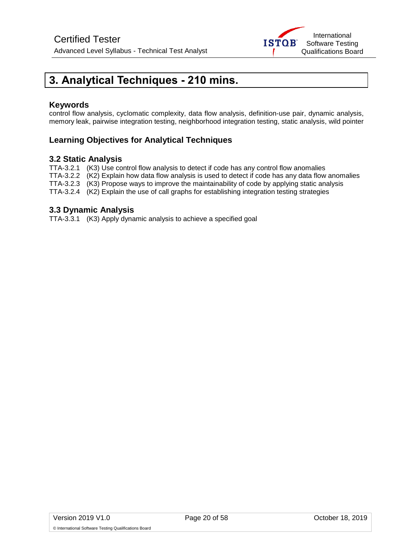

## <span id="page-19-0"></span>**3. Analytical Techniques - 210 mins.**

#### **Keywords**

control flow analysis, cyclomatic complexity, data flow analysis, definition-use pair, dynamic analysis, memory leak, pairwise integration testing, neighborhood integration testing, static analysis, wild pointer

### **Learning Objectives for Analytical Techniques**

#### **3.2 Static Analysis**

TTA-3.2.1 (K3) Use control flow analysis to detect if code has any control flow anomalies TTA-3.2.2 (K2) Explain how data flow analysis is used to detect if code has any data flow anomalies TTA-3.2.3 (K3) Propose ways to improve the maintainability of code by applying static analysis

TTA-3.2.4 (K2) Explain the use of call graphs for establishing integration testing strategies

#### **3.3 Dynamic Analysis**

TTA-3.3.1 (K3) Apply dynamic analysis to achieve a specified goal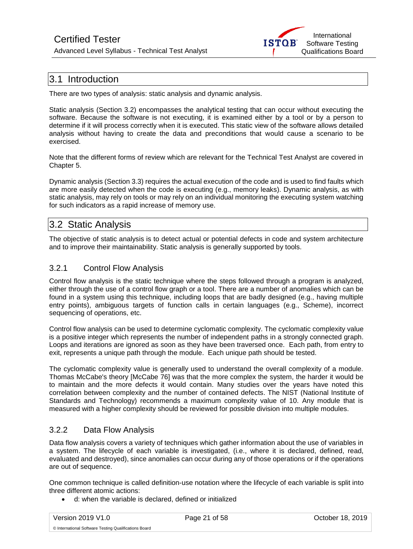Advanced Level Syllabus - Technical Test Analyst



## <span id="page-20-0"></span>3.1 Introduction

There are two types of analysis: static analysis and dynamic analysis.

Static analysis (Section 3.2) encompasses the analytical testing that can occur without executing the software. Because the software is not executing, it is examined either by a tool or by a person to determine if it will process correctly when it is executed. This static view of the software allows detailed analysis without having to create the data and preconditions that would cause a scenario to be exercised.

Note that the different forms of review which are relevant for the Technical Test Analyst are covered in Chapter 5.

Dynamic analysis (Section 3.3) requires the actual execution of the code and is used to find faults which are more easily detected when the code is executing (e.g., memory leaks). Dynamic analysis, as with static analysis, may rely on tools or may rely on an individual monitoring the executing system watching for such indicators as a rapid increase of memory use.

## <span id="page-20-1"></span>3.2 Static Analysis

The objective of static analysis is to detect actual or potential defects in code and system architecture and to improve their maintainability. Static analysis is generally supported by tools.

### <span id="page-20-2"></span>3.2.1 Control Flow Analysis

Control flow analysis is the static technique where the steps followed through a program is analyzed, either through the use of a control flow graph or a tool. There are a number of anomalies which can be found in a system using this technique, including loops that are badly designed (e.g., having multiple entry points), ambiguous targets of function calls in certain languages (e.g., Scheme), incorrect sequencing of operations, etc.

Control flow analysis can be used to determine cyclomatic complexity. The cyclomatic complexity value is a positive integer which represents the number of independent paths in a strongly connected graph. Loops and iterations are ignored as soon as they have been traversed once. Each path, from entry to exit, represents a unique path through the module. Each unique path should be tested.

The cyclomatic complexity value is generally used to understand the overall complexity of a module. Thomas McCabe's theory [McCabe 76] was that the more complex the system, the harder it would be to maintain and the more defects it would contain. Many studies over the years have noted this correlation between complexity and the number of contained defects. The NIST (National Institute of Standards and Technology) recommends a maximum complexity value of 10. Any module that is measured with a higher complexity should be reviewed for possible division into multiple modules.

### <span id="page-20-3"></span>3.2.2 Data Flow Analysis

Data flow analysis covers a variety of techniques which gather information about the use of variables in a system. The lifecycle of each variable is investigated, (i.e., where it is declared, defined, read, evaluated and destroyed), since anomalies can occur during any of those operations or if the operations are out of sequence.

One common technique is called definition-use notation where the lifecycle of each variable is split into three different atomic actions:

• d: when the variable is declared, defined or initialized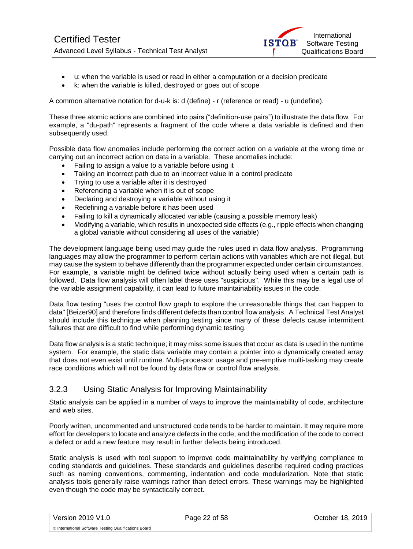

- u: when the variable is used or read in either a computation or a decision predicate
- k: when the variable is killed, destroyed or goes out of scope

A common alternative notation for d-u-k is: d (define) - r (reference or read) - u (undefine).

These three atomic actions are combined into pairs ("definition-use pairs") to illustrate the data flow. For example, a "du-path" represents a fragment of the code where a data variable is defined and then subsequently used.

Possible data flow anomalies include performing the correct action on a variable at the wrong time or carrying out an incorrect action on data in a variable. These anomalies include:

- Failing to assign a value to a variable before using it
- Taking an incorrect path due to an incorrect value in a control predicate
- Trying to use a variable after it is destroyed
- Referencing a variable when it is out of scope
- Declaring and destroying a variable without using it
- Redefining a variable before it has been used
- Failing to kill a dynamically allocated variable (causing a possible memory leak)
- Modifying a variable, which results in unexpected side effects (e.g., ripple effects when changing a global variable without considering all uses of the variable)

The development language being used may guide the rules used in data flow analysis. Programming languages may allow the programmer to perform certain actions with variables which are not illegal, but may cause the system to behave differently than the programmer expected under certain circumstances. For example, a variable might be defined twice without actually being used when a certain path is followed. Data flow analysis will often label these uses "suspicious". While this may be a legal use of the variable assignment capability, it can lead to future maintainability issues in the code.

Data flow testing "uses the control flow graph to explore the unreasonable things that can happen to data" [Beizer90] and therefore finds different defects than control flow analysis. A Technical Test Analyst should include this technique when planning testing since many of these defects cause intermittent failures that are difficult to find while performing dynamic testing.

Data flow analysis is a static technique; it may miss some issues that occur as data is used in the runtime system. For example, the static data variable may contain a pointer into a dynamically created array that does not even exist until runtime. Multi-processor usage and pre-emptive multi-tasking may create race conditions which will not be found by data flow or control flow analysis.

#### <span id="page-21-0"></span>3.2.3 Using Static Analysis for Improving Maintainability

Static analysis can be applied in a number of ways to improve the maintainability of code, architecture and web sites.

Poorly written, uncommented and unstructured code tends to be harder to maintain. It may require more effort for developers to locate and analyze defects in the code, and the modification of the code to correct a defect or add a new feature may result in further defects being introduced.

Static analysis is used with tool support to improve code maintainability by verifying compliance to coding standards and guidelines. These standards and guidelines describe required coding practices such as naming conventions, commenting, indentation and code modularization. Note that static analysis tools generally raise warnings rather than detect errors. These warnings may be highlighted even though the code may be syntactically correct.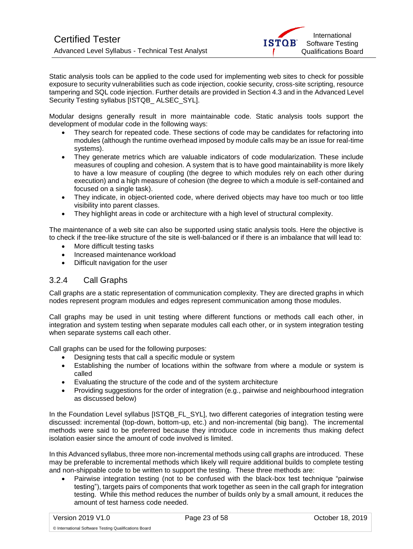

Static analysis tools can be applied to the code used for implementing web sites to check for possible exposure to security vulnerabilities such as code injection, cookie security, cross-site scripting, resource tampering and SQL code injection. Further details are provided in Section 4.3 and in the Advanced Level Security Testing syllabus [ISTQB\_ALSEC\_SYL].

Modular designs generally result in more maintainable code. Static analysis tools support the development of modular code in the following ways:

- They search for repeated code. These sections of code may be candidates for refactoring into modules (although the runtime overhead imposed by module calls may be an issue for real-time systems).
- They generate metrics which are valuable indicators of code modularization. These include measures of coupling and cohesion. A system that is to have good maintainability is more likely to have a low measure of coupling (the degree to which modules rely on each other during execution) and a high measure of cohesion (the degree to which a module is self-contained and focused on a single task).
- They indicate, in object-oriented code, where derived objects may have too much or too little visibility into parent classes.
- They highlight areas in code or architecture with a high level of structural complexity.

The maintenance of a web site can also be supported using static analysis tools. Here the objective is to check if the tree-like structure of the site is well-balanced or if there is an imbalance that will lead to:

- More difficult testing tasks
- Increased maintenance workload
- Difficult navigation for the user

#### <span id="page-22-0"></span>3.2.4 Call Graphs

Call graphs are a static representation of communication complexity. They are directed graphs in which nodes represent program modules and edges represent communication among those modules.

Call graphs may be used in unit testing where different functions or methods call each other, in integration and system testing when separate modules call each other, or in system integration testing when separate systems call each other.

Call graphs can be used for the following purposes:

- Designing tests that call a specific module or system
- Establishing the number of locations within the software from where a module or system is called
- Evaluating the structure of the code and of the system architecture
- Providing suggestions for the order of integration (e.g., pairwise and neighbourhood integration as discussed below)

In the Foundation Level syllabus [ISTQB\_FL\_SYL], two different categories of integration testing were discussed: incremental (top-down, bottom-up, etc.) and non-incremental (big bang). The incremental methods were said to be preferred because they introduce code in increments thus making defect isolation easier since the amount of code involved is limited.

In this Advanced syllabus, three more non-incremental methods using call graphs are introduced. These may be preferable to incremental methods which likely will require additional builds to complete testing and non-shippable code to be written to support the testing. These three methods are:

• Pairwise integration testing (not to be confused with the black-box test technique "pairwise testing"), targets pairs of components that work together as seen in the call graph for integration testing. While this method reduces the number of builds only by a small amount, it reduces the amount of test harness code needed.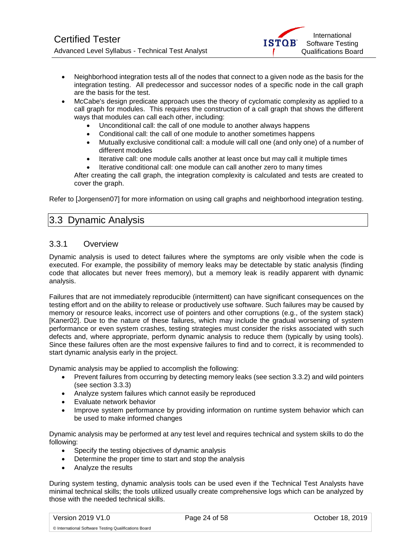

- <span id="page-23-2"></span>• Neighborhood integration tests all of the nodes that connect to a given node as the basis for the integration testing. All predecessor and successor nodes of a specific node in the call graph are the basis for the test.
- McCabe's design predicate approach uses the theory of cyclomatic complexity as applied to a call graph for modules. This requires the construction of a call graph that shows the different ways that modules can call each other, including:
	- Unconditional call: the call of one module to another always happens
	- Conditional call: the call of one module to another sometimes happens
	- Mutually exclusive conditional call: a module will call one (and only one) of a number of different modules
	- Iterative call: one module calls another at least once but may call it multiple times
	- Iterative conditional call: one module can call another zero to many times

After creating the call graph, the integration complexity is calculated and tests are created to cover the graph.

<span id="page-23-0"></span>Refer to [Jorgensen07] for more information on using call graphs and neighborhood integration testing.

## 3.3 Dynamic Analysis

#### <span id="page-23-1"></span>3.3.1 Overview

Dynamic analysis is used to detect failures where the symptoms are only visible when the code is executed. For example, the possibility of memory leaks may be detectable by static analysis (finding code that allocates but never frees memory), but a memory leak is readily apparent with dynamic analysis.

Failures that are not immediately reproducible (intermittent) can have significant consequences on the testing effort and on the ability to release or productively use software. Such failures may be caused by memory or resource leaks, incorrect use of pointers and other corruptions (e.g., of the system stack) [Kaner02]. Due to the nature of these failures, which may include the gradual worsening of system performance or even system crashes, testing strategies must consider the risks associated with such defects and, where appropriate, perform dynamic analysis to reduce them (typically by using tools). Since these failures often are the most expensive failures to find and to correct, it is recommended to start dynamic analysis early in the project.

Dynamic analysis may be applied to accomplish the following:

- Prevent failures from occurring by detecting memory leaks (see section 3.3.2) and wild pointers (see section 3.3.3)
- Analyze system failures which cannot easily be reproduced
- Evaluate network behavior
- Improve system performance by providing information on runtime system behavior which can be used to make informed changes

Dynamic analysis may be performed at any test level and requires technical and system skills to do the following:

- Specify the testing objectives of dynamic analysis
- Determine the proper time to start and stop the analysis
- Analyze the results

During system testing, dynamic analysis tools can be used even if the Technical Test Analysts have minimal technical skills; the tools utilized usually create comprehensive logs which can be analyzed by those with the needed technical skills.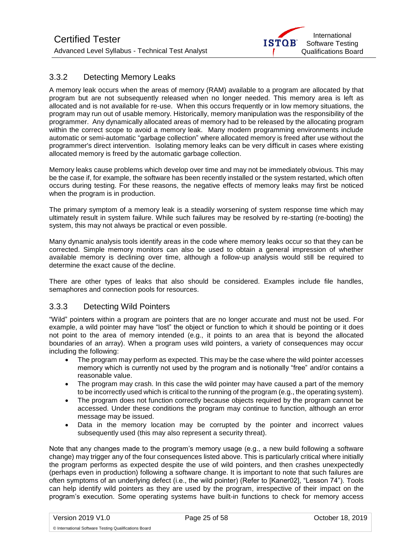

### <span id="page-24-1"></span>3.3.2 Detecting Memory Leaks

A memory leak occurs when the areas of memory (RAM) available to a program are allocated by that program but are not subsequently released when no longer needed. This memory area is left as allocated and is not available for re-use. When this occurs frequently or in low memory situations, the program may run out of usable memory. Historically, memory manipulation was the responsibility of the programmer. Any dynamically allocated areas of memory had to be released by the allocating program within the correct scope to avoid a memory leak. Many modern programming environments include automatic or semi-automatic "garbage collection" where allocated memory is freed after use without the programmer's direct intervention. Isolating memory leaks can be very difficult in cases where existing allocated memory is freed by the automatic garbage collection.

Memory leaks cause problems which develop over time and may not be immediately obvious. This may be the case if, for example, the software has been recently installed or the system restarted, which often occurs during testing. For these reasons, the negative effects of memory leaks may first be noticed when the program is in production.

The primary symptom of a memory leak is a steadily worsening of system response time which may ultimately result in system failure. While such failures may be resolved by re-starting (re-booting) the system, this may not always be practical or even possible.

Many dynamic analysis tools identify areas in the code where memory leaks occur so that they can be corrected. Simple memory monitors can also be used to obtain a general impression of whether available memory is declining over time, although a follow-up analysis would still be required to determine the exact cause of the decline.

There are other types of leaks that also should be considered. Examples include file handles, semaphores and connection pools for resources.

#### <span id="page-24-0"></span>3.3.3 Detecting Wild Pointers

"Wild" pointers within a program are pointers that are no longer accurate and must not be used. For example, a wild pointer may have "lost" the object or function to which it should be pointing or it does not point to the area of memory intended (e.g., it points to an area that is beyond the allocated boundaries of an array). When a program uses wild pointers, a variety of consequences may occur including the following:

- The program may perform as expected. This may be the case where the wild pointer accesses memory which is currently not used by the program and is notionally "free" and/or contains a reasonable value.
- The program may crash. In this case the wild pointer may have caused a part of the memory to be incorrectly used which is critical to the running of the program (e.g., the operating system).
- The program does not function correctly because objects required by the program cannot be accessed. Under these conditions the program may continue to function, although an error message may be issued.
- Data in the memory location may be corrupted by the pointer and incorrect values subsequently used (this may also represent a security threat).

Note that any changes made to the program's memory usage (e.g., a new build following a software change) may trigger any of the four consequences listed above. This is particularly critical where initially the program performs as expected despite the use of wild pointers, and then crashes unexpectedly (perhaps even in production) following a software change. It is important to note that such failures are often symptoms of an underlying defect (i.e., the wild pointer) (Refer to [Kaner02], "Lesson 74"). Tools can help identify wild pointers as they are used by the program, irrespective of their impact on the program's execution. Some operating systems have built-in functions to check for memory access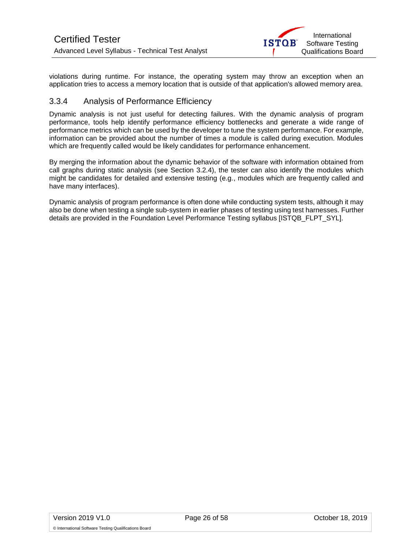

violations during runtime. For instance, the operating system may throw an exception when an application tries to access a memory location that is outside of that application's allowed memory area.

#### 3.3.4 Analysis of Performance Efficiency

Dynamic analysis is not just useful for detecting failures. With the dynamic analysis of program performance, tools help identify performance efficiency bottlenecks and generate a wide range of performance metrics which can be used by the developer to tune the system performance. For example, information can be provided about the number of times a module is called during execution. Modules which are frequently called would be likely candidates for performance enhancement.

By merging the information about the dynamic behavior of the software with information obtained from call graphs during static analysis (see Section 3.2.4), the tester can also identify the modules which might be candidates for detailed and extensive testing (e.g., modules which are frequently called and have many interfaces).

Dynamic analysis of program performance is often done while conducting system tests, although it may also be done when testing a single sub-system in earlier phases of testing using test harnesses. Further details are provided in the Foundation Level Performance Testing syllabus [ISTQB\_FLPT\_SYL].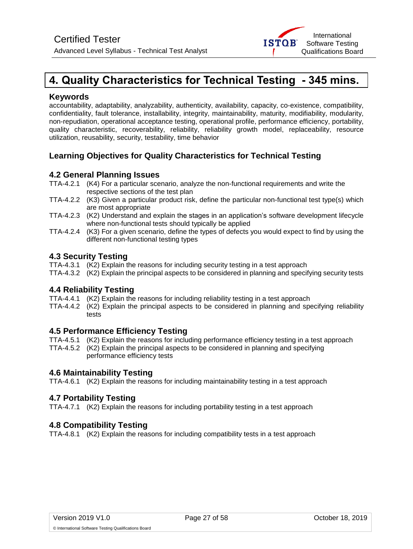## <span id="page-26-0"></span>**4. Quality Characteristics for Technical Testing - 345 mins.**

#### **Keywords**

accountability, adaptability, analyzability, authenticity, availability, capacity, co-existence, compatibility, confidentiality, fault tolerance, installability, integrity, maintainability, maturity, modifiability, modularity, non-repudiation, operational acceptance testing, operational profile, performance efficiency, portability, quality characteristic, recoverability, reliability, reliability growth model, replaceability, resource utilization, reusability, security, testability, time behavior

### **Learning Objectives for Quality Characteristics for Technical Testing**

#### **4.2 General Planning Issues**

- TTA-4.2.1 (K4) For a particular scenario, analyze the non-functional requirements and write the respective sections of the test plan
- TTA-4.2.2 (K3) Given a particular product risk, define the particular non-functional test type(s) which are most appropriate
- TTA-4.2.3 (K2) Understand and explain the stages in an application's software development lifecycle where non-functional tests should typically be applied
- TTA-4.2.4 (K3) For a given scenario, define the types of defects you would expect to find by using the different non-functional testing types

#### **4.3 Security Testing**

- TTA-4.3.1 (K2) Explain the reasons for including security testing in a test approach
- TTA-4.3.2 (K2) Explain the principal aspects to be considered in planning and specifying security tests

#### **4.4 Reliability Testing**

- TTA-4.4.1 (K2) Explain the reasons for including reliability testing in a test approach
- TTA-4.4.2 (K2) Explain the principal aspects to be considered in planning and specifying reliability tests

#### **4.5 Performance Efficiency Testing**

- TTA-4.5.1 (K2) Explain the reasons for including performance efficiency testing in a test approach
- TTA-4.5.2 (K2) Explain the principal aspects to be considered in planning and specifying performance efficiency tests

#### **4.6 Maintainability Testing**

TTA-4.6.1 (K2) Explain the reasons for including maintainability testing in a test approach

#### **4.7 Portability Testing**

TTA-4.7.1 (K2) Explain the reasons for including portability testing in a test approach

#### **4.8 Compatibility Testing**

TTA-4.8.1 (K2) Explain the reasons for including compatibility tests in a test approach

International Software Testing Qualifications Board

**ISTOB**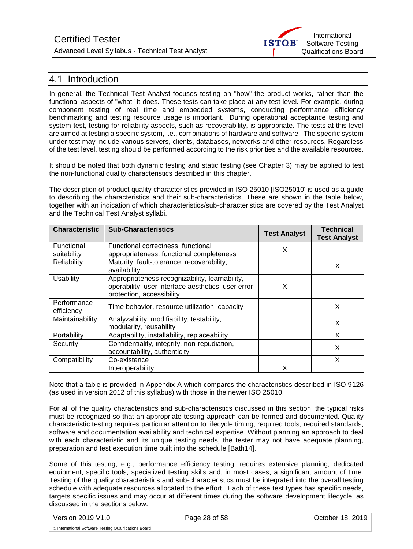Advanced Level Syllabus - Technical Test Analyst



## <span id="page-27-0"></span>4.1 Introduction

In general, the Technical Test Analyst focuses testing on "how" the product works, rather than the functional aspects of "what" it does. These tests can take place at any test level. For example, during component testing of real time and embedded systems, conducting performance efficiency benchmarking and testing resource usage is important. During operational acceptance testing and system test, testing for reliability aspects, such as recoverability, is appropriate. The tests at this level are aimed at testing a specific system, i.e., combinations of hardware and software. The specific system under test may include various servers, clients, databases, networks and other resources. Regardless of the test level, testing should be performed according to the risk priorities and the available resources.

It should be noted that both dynamic testing and static testing (see Chapter 3) may be applied to test the non-functional quality characteristics described in this chapter.

The description of product quality characteristics provided in ISO 25010 [ISO25010] is used as a guide to describing the characteristics and their sub-characteristics. These are shown in the table below, together with an indication of which characteristics/sub-characteristics are covered by the Test Analyst and the Technical Test Analyst syllabi.

| <b>Characteristic</b>     | <b>Sub-Characteristics</b>                                                                                                        | <b>Test Analyst</b> | <b>Technical</b><br><b>Test Analyst</b> |
|---------------------------|-----------------------------------------------------------------------------------------------------------------------------------|---------------------|-----------------------------------------|
| Functional<br>suitability | Functional correctness, functional<br>appropriateness, functional completeness                                                    | X                   |                                         |
| Reliability               | Maturity, fault-tolerance, recoverability,<br>availability                                                                        |                     | X                                       |
| <b>Usability</b>          | Appropriateness recognizability, learnability,<br>operability, user interface aesthetics, user error<br>protection, accessibility | X                   |                                         |
| Performance<br>efficiency | Time behavior, resource utilization, capacity                                                                                     |                     | X                                       |
| Maintainability           | Analyzability, modifiability, testability,<br>modularity, reusability                                                             |                     | X                                       |
| Portability               | Adaptability, installability, replaceability                                                                                      |                     | X                                       |
| Security                  | Confidentiality, integrity, non-repudiation,<br>accountability, authenticity                                                      |                     | X                                       |
| Compatibility             | Co-existence                                                                                                                      |                     | x                                       |
|                           | Interoperability                                                                                                                  |                     |                                         |

Note that a table is provided in Appendix A which compares the characteristics described in ISO 9126 (as used in version 2012 of this syllabus) with those in the newer ISO 25010.

For all of the quality characteristics and sub-characteristics discussed in this section, the typical risks must be recognized so that an appropriate testing approach can be formed and documented. Quality characteristic testing requires particular attention to lifecycle timing, required tools, required standards, software and documentation availability and technical expertise. Without planning an approach to deal with each characteristic and its unique testing needs, the tester may not have adequate planning, preparation and test execution time built into the schedule [Bath14].

Some of this testing, e.g., performance efficiency testing, requires extensive planning, dedicated equipment, specific tools, specialized testing skills and, in most cases, a significant amount of time. Testing of the quality characteristics and sub-characteristics must be integrated into the overall testing schedule with adequate resources allocated to the effort. Each of these test types has specific needs, targets specific issues and may occur at different times during the software development lifecycle, as discussed in the sections below.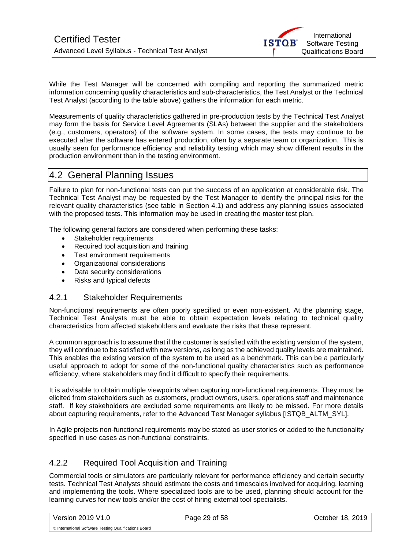While the Test Manager will be concerned with compiling and reporting the summarized metric information concerning quality characteristics and sub-characteristics, the Test Analyst or the Technical Test Analyst (according to the table above) gathers the information for each metric.

Measurements of quality characteristics gathered in pre-production tests by the Technical Test Analyst may form the basis for Service Level Agreements (SLAs) between the supplier and the stakeholders (e.g., customers, operators) of the software system. In some cases, the tests may continue to be executed after the software has entered production, often by a separate team or organization. This is usually seen for performance efficiency and reliability testing which may show different results in the production environment than in the testing environment.

## <span id="page-28-0"></span>4.2 General Planning Issues

Failure to plan for non-functional tests can put the success of an application at considerable risk. The Technical Test Analyst may be requested by the Test Manager to identify the principal risks for the relevant quality characteristics (see table in Section 4.1) and address any planning issues associated with the proposed tests. This information may be used in creating the master test plan.

The following general factors are considered when performing these tasks:

- Stakeholder requirements
- Required tool acquisition and training
- Test environment requirements
- Organizational considerations
- Data security considerations
- Risks and typical defects

#### <span id="page-28-1"></span>4.2.1 Stakeholder Requirements

Non-functional requirements are often poorly specified or even non-existent. At the planning stage, Technical Test Analysts must be able to obtain expectation levels relating to technical quality characteristics from affected stakeholders and evaluate the risks that these represent.

A common approach is to assume that if the customer is satisfied with the existing version of the system, they will continue to be satisfied with new versions, as long as the achieved quality levels are maintained. This enables the existing version of the system to be used as a benchmark. This can be a particularly useful approach to adopt for some of the non-functional quality characteristics such as performance efficiency, where stakeholders may find it difficult to specify their requirements.

It is advisable to obtain multiple viewpoints when capturing non-functional requirements. They must be elicited from stakeholders such as customers, product owners, users, operations staff and maintenance staff. If key stakeholders are excluded some requirements are likely to be missed. For more details about capturing requirements, refer to the Advanced Test Manager syllabus [ISTQB\_ALTM\_SYL].

In Agile projects non-functional requirements may be stated as user stories or added to the functionality specified in use cases as non-functional constraints.

### <span id="page-28-2"></span>4.2.2 Required Tool Acquisition and Training

Commercial tools or simulators are particularly relevant for performance efficiency and certain security tests. Technical Test Analysts should estimate the costs and timescales involved for acquiring, learning and implementing the tools. Where specialized tools are to be used, planning should account for the learning curves for new tools and/or the cost of hiring external tool specialists.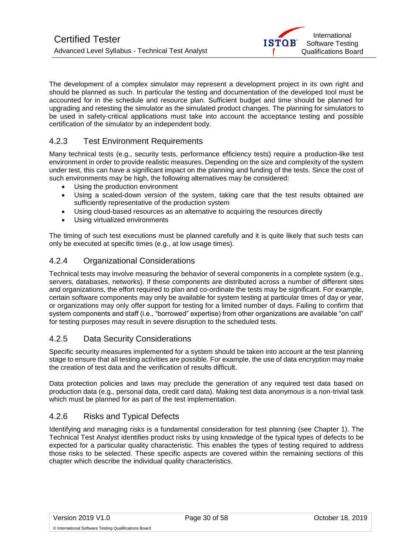<span id="page-29-4"></span>The development of a complex simulator may represent a development project in its own right and should be planned as such. In particular the testing and documentation of the developed tool must be accounted for in the schedule and resource plan. Sufficient budget and time should be planned for upgrading and retesting the simulator as the simulated product changes. The planning for simulators to be used in safety-critical applications must take into account the acceptance testing and possible certification of the simulator by an independent body.

### <span id="page-29-0"></span>4.2.3 Test Environment Requirements

Many technical tests (e.g., security tests, performance efficiency tests) require a production-like test environment in order to provide realistic measures. Depending on the size and complexity of the system under test, this can have a significant impact on the planning and funding of the tests. Since the cost of such environments may be high, the following alternatives may be considered:

- Using the production environment
- Using a scaled-down version of the system, taking care that the test results obtained are sufficiently representative of the production system
- Using cloud-based resources as an alternative to acquiring the resources directly
- Using virtualized environments

The timing of such test executions must be planned carefully and it is quite likely that such tests can only be executed at specific times (e.g., at low usage times).

#### <span id="page-29-1"></span>4.2.4 Organizational Considerations

Technical tests may involve measuring the behavior of several components in a complete system (e.g., servers, databases, networks). If these components are distributed across a number of different sites and organizations, the effort required to plan and co-ordinate the tests may be significant. For example, certain software components may only be available for system testing at particular times of day or year, or organizations may only offer support for testing for a limited number of days. Failing to confirm that system components and staff (i.e., "borrowed" expertise) from other organizations are available "on call" for testing purposes may result in severe disruption to the scheduled tests.

### <span id="page-29-2"></span>4.2.5 Data Security Considerations

Specific security measures implemented for a system should be taken into account at the test planning stage to ensure that all testing activities are possible. For example, the use of data encryption may make the creation of test data and the verification of results difficult.

Data protection policies and laws may preclude the generation of any required test data based on production data (e.g., personal data, credit card data). Making test data anonymous is a non-trivial task which must be planned for as part of the test implementation.

### <span id="page-29-3"></span>4.2.6 Risks and Typical Defects

Identifying and managing risks is a fundamental consideration for test planning (see Chapter 1). The Technical Test Analyst identifies product risks by using knowledge of the typical types of defects to be expected for a particular quality characteristic. This enables the types of testing required to address those risks to be selected. These specific aspects are covered within the remaining sections of this chapter which describe the individual quality characteristics.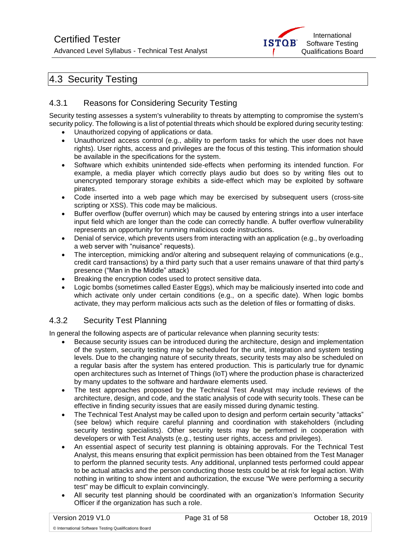Advanced Level Syllabus - Technical Test Analyst



## 4.3 Security Testing

### <span id="page-30-0"></span>4.3.1 Reasons for Considering Security Testing

Security testing assesses a system's vulnerability to threats by attempting to compromise the system's security policy. The following is a list of potential threats which should be explored during security testing:

- Unauthorized copying of applications or data.
- Unauthorized access control (e.g., ability to perform tasks for which the user does not have rights). User rights, access and privileges are the focus of this testing. This information should be available in the specifications for the system.
- Software which exhibits unintended side-effects when performing its intended function. For example, a media player which correctly plays audio but does so by writing files out to unencrypted temporary storage exhibits a side-effect which may be exploited by software pirates.
- Code inserted into a web page which may be exercised by subsequent users (cross-site scripting or XSS). This code may be malicious.
- Buffer overflow (buffer overrun) which may be caused by entering strings into a user interface input field which are longer than the code can correctly handle. A buffer overflow vulnerability represents an opportunity for running malicious code instructions.
- Denial of service, which prevents users from interacting with an application (e.g., by overloading a web server with "nuisance" requests).
- The interception, mimicking and/or altering and subsequent relaying of communications (e.g., credit card transactions) by a third party such that a user remains unaware of that third party's presence ("Man in the Middle" attack)
- Breaking the encryption codes used to protect sensitive data.
- Logic bombs (sometimes called Easter Eggs), which may be maliciously inserted into code and which activate only under certain conditions (e.g., on a specific date). When logic bombs activate, they may perform malicious acts such as the deletion of files or formatting of disks.

### <span id="page-30-1"></span>4.3.2 Security Test Planning

In general the following aspects are of particular relevance when planning security tests:

- Because security issues can be introduced during the architecture, design and implementation of the system, security testing may be scheduled for the unit, integration and system testing levels. Due to the changing nature of security threats, security tests may also be scheduled on a regular basis after the system has entered production. This is particularly true for dynamic open architectures such as Internet of Things (IoT) where the production phase is characterized by many updates to the software and hardware elements used.
- The test approaches proposed by the Technical Test Analyst may include reviews of the architecture, design, and code, and the static analysis of code with security tools. These can be effective in finding security issues that are easily missed during dynamic testing.
- The Technical Test Analyst may be called upon to design and perform certain security "attacks" (see below) which require careful planning and coordination with stakeholders (including security testing specialists). Other security tests may be performed in cooperation with developers or with Test Analysts (e.g., testing user rights, access and privileges).
- An essential aspect of security test planning is obtaining approvals. For the Technical Test Analyst, this means ensuring that explicit permission has been obtained from the Test Manager to perform the planned security tests. Any additional, unplanned tests performed could appear to be actual attacks and the person conducting those tests could be at risk for legal action. With nothing in writing to show intent and authorization, the excuse "We were performing a security test" may be difficult to explain convincingly.
- All security test planning should be coordinated with an organization's Information Security Officer if the organization has such a role.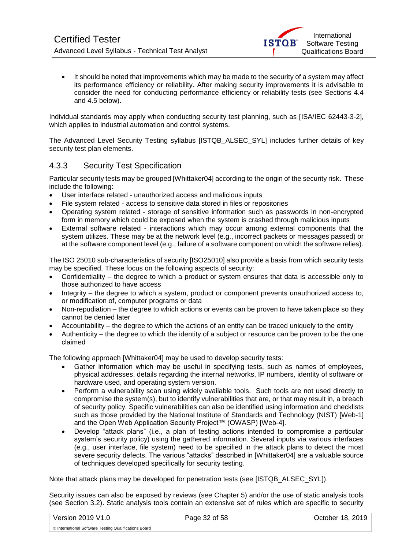• It should be noted that improvements which may be made to the security of a system may affect its performance efficiency or reliability. After making security improvements it is advisable to consider the need for conducting performance efficiency or reliability tests (see Sections 4.4 and 4.5 below).

Individual standards may apply when conducting security test planning, such as [ISA/IEC 62443-3-2], which applies to industrial automation and control systems.

The Advanced Level Security Testing syllabus [ISTQB\_ALSEC\_SYL] includes further details of key security test plan elements.

### <span id="page-31-0"></span>4.3.3 Security Test Specification

Particular security tests may be grouped [Whittaker04] according to the origin of the security risk. These include the following:

- User interface related unauthorized access and malicious inputs
- File system related access to sensitive data stored in files or repositories
- Operating system related storage of sensitive information such as passwords in non-encrypted form in memory which could be exposed when the system is crashed through malicious inputs
- External software related interactions which may occur among external components that the system utilizes. These may be at the network level (e.g., incorrect packets or messages passed) or at the software component level (e.g., failure of a software component on which the software relies).

The ISO 25010 sub-characteristics of security [ISO25010] also provide a basis from which security tests may be specified. These focus on the following aspects of security:

- Confidentiality the degree to which a product or system ensures that data is accessible only to those authorized to have access
- Integrity the degree to which a system, product or component prevents unauthorized access to, or modification of, computer programs or data
- Non-repudiation the degree to which actions or events can be proven to have taken place so they cannot be denied later
- Accountability the degree to which the actions of an entity can be traced uniquely to the entity
- Authenticity the degree to which the identity of a subject or resource can be proven to be the one claimed

The following approach [Whittaker04] may be used to develop security tests:

- Gather information which may be useful in specifying tests, such as names of employees, physical addresses, details regarding the internal networks, IP numbers, identity of software or hardware used, and operating system version.
- Perform a vulnerability scan using widely available tools. Such tools are not used directly to compromise the system(s), but to identify vulnerabilities that are, or that may result in, a breach of security policy. Specific vulnerabilities can also be identified using information and checklists such as those provided by the National Institute of Standards and Technology (NIST) [Web-1] and the Open Web Application Security Project™ (OWASP) [Web-4].
- Develop "attack plans" (i.e., a plan of testing actions intended to compromise a particular system's security policy) using the gathered information. Several inputs via various interfaces (e.g., user interface, file system) need to be specified in the attack plans to detect the most severe security defects. The various "attacks" described in [Whittaker04] are a valuable source of techniques developed specifically for security testing.

Note that attack plans may be developed for penetration tests (see [ISTQB\_ALSEC\_SYL]).

Security issues can also be exposed by reviews (see Chapter 5) and/or the use of static analysis tools (see Section 3.2). Static analysis tools contain an extensive set of rules which are specific to security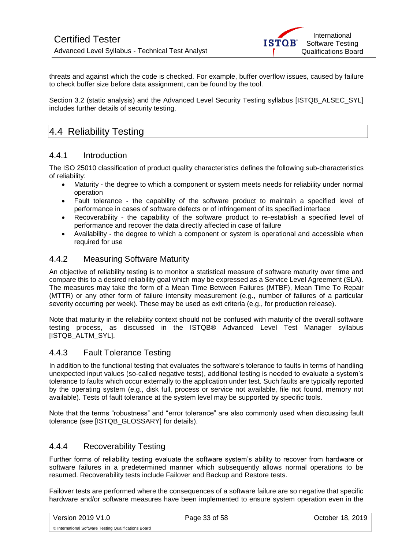threats and against which the code is checked. For example, buffer overflow issues, caused by failure to check buffer size before data assignment, can be found by the tool.

Section 3.2 (static analysis) and the Advanced Level Security Testing syllabus [ISTQB\_ALSEC\_SYL] includes further details of security testing.

## <span id="page-32-0"></span>4.4 Reliability Testing

#### <span id="page-32-1"></span>4.4.1 Introduction

The ISO 25010 classification of product quality characteristics defines the following sub-characteristics of reliability:

- Maturity the degree to which a component or system meets needs for reliability under normal operation
- Fault tolerance the capability of the software product to maintain a specified level of performance in cases of software defects or of infringement of its specified interface
- Recoverability the capability of the software product to re-establish a specified level of performance and recover the data directly affected in case of failure
- Availability the degree to which a component or system is operational and accessible when required for use

### <span id="page-32-2"></span>4.4.2 Measuring Software Maturity

An objective of reliability testing is to monitor a statistical measure of software maturity over time and compare this to a desired reliability goal which may be expressed as a Service Level Agreement (SLA). The measures may take the form of a Mean Time Between Failures (MTBF), Mean Time To Repair (MTTR) or any other form of failure intensity measurement (e.g., number of failures of a particular severity occurring per week). These may be used as exit criteria (e.g., for production release).

Note that maturity in the reliability context should not be confused with maturity of the overall software testing process, as discussed in the ISTQB® Advanced Level Test Manager syllabus [ISTQB\_ALTM\_SYL].

#### <span id="page-32-3"></span>4.4.3 Fault Tolerance Testing

In addition to the functional testing that evaluates the software's tolerance to faults in terms of handling unexpected input values (so-called negative tests), additional testing is needed to evaluate a system's tolerance to faults which occur externally to the application under test. Such faults are typically reported by the operating system (e.g., disk full, process or service not available, file not found, memory not available). Tests of fault tolerance at the system level may be supported by specific tools.

Note that the terms "robustness" and "error tolerance" are also commonly used when discussing fault tolerance (see [ISTQB\_GLOSSARY] for details).

#### <span id="page-32-4"></span>4.4.4 Recoverability Testing

Further forms of reliability testing evaluate the software system's ability to recover from hardware or software failures in a predetermined manner which subsequently allows normal operations to be resumed. Recoverability tests include Failover and Backup and Restore tests.

Failover tests are performed where the consequences of a software failure are so negative that specific hardware and/or software measures have been implemented to ensure system operation even in the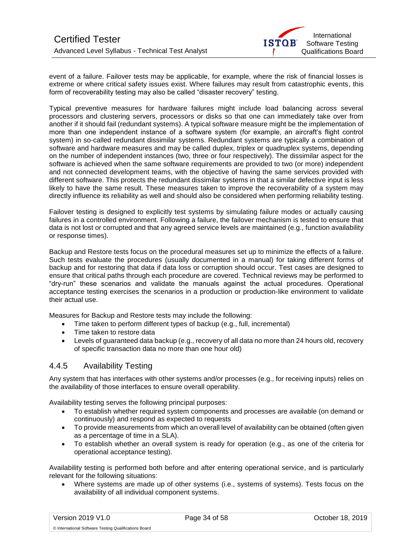event of a failure. Failover tests may be applicable, for example, where the risk of financial losses is extreme or where critical safety issues exist. Where failures may result from catastrophic events, this form of recoverability testing may also be called "disaster recovery" testing.

Typical preventive measures for hardware failures might include load balancing across several processors and clustering servers, processors or disks so that one can immediately take over from another if it should fail (redundant systems). A typical software measure might be the implementation of more than one independent instance of a software system (for example, an aircraft's flight control system) in so-called redundant dissimilar systems. Redundant systems are typically a combination of software and hardware measures and may be called duplex, triplex or quadruplex systems, depending on the number of independent instances (two, three or four respectively). The dissimilar aspect for the software is achieved when the same software requirements are provided to two (or more) independent and not connected development teams, with the objective of having the same services provided with different software. This protects the redundant dissimilar systems in that a similar defective input is less likely to have the same result. These measures taken to improve the recoverability of a system may directly influence its reliability as well and should also be considered when performing reliability testing.

Failover testing is designed to explicitly test systems by simulating failure modes or actually causing failures in a controlled environment. Following a failure, the failover mechanism is tested to ensure that data is not lost or corrupted and that any agreed service levels are maintained (e.g., function availability or response times).

Backup and Restore tests focus on the procedural measures set up to minimize the effects of a failure. Such tests evaluate the procedures (usually documented in a manual) for taking different forms of backup and for restoring that data if data loss or corruption should occur. Test cases are designed to ensure that critical paths through each procedure are covered. Technical reviews may be performed to "dry-run" these scenarios and validate the manuals against the actual procedures. Operational acceptance testing exercises the scenarios in a production or production-like environment to validate their actual use.

Measures for Backup and Restore tests may include the following:

- Time taken to perform different types of backup (e.g., full, incremental)
- Time taken to restore data
- Levels of guaranteed data backup (e.g., recovery of all data no more than 24 hours old, recovery of specific transaction data no more than one hour old)

#### <span id="page-33-0"></span>4.4.5 Availability Testing

Any system that has interfaces with other systems and/or processes (e.g., for receiving inputs) relies on the availability of those interfaces to ensure overall operability.

Availability testing serves the following principal purposes:

- To establish whether required system components and processes are available (on demand or continuously) and respond as expected to requests
- To provide measurements from which an overall level of availability can be obtained (often given as a percentage of time in a SLA).
- To establish whether an overall system is ready for operation (e.g., as one of the criteria for operational acceptance testing).

Availability testing is performed both before and after entering operational service, and is particularly relevant for the following situations:

• Where systems are made up of other systems (i.e., systems of systems). Tests focus on the availability of all individual component systems.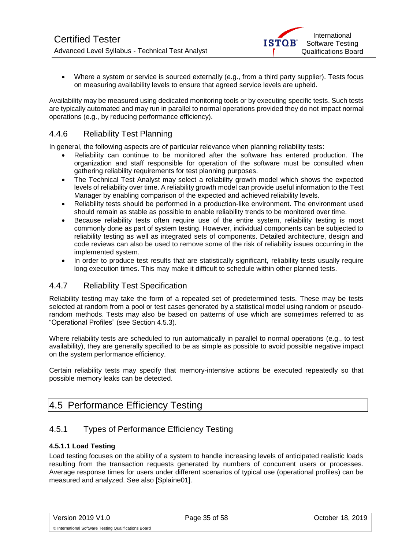• Where a system or service is sourced externally (e.g., from a third party supplier). Tests focus on measuring availability levels to ensure that agreed service levels are upheld.

Availability may be measured using dedicated monitoring tools or by executing specific tests. Such tests are typically automated and may run in parallel to normal operations provided they do not impact normal operations (e.g., by reducing performance efficiency).

### <span id="page-34-0"></span>4.4.6 Reliability Test Planning

In general, the following aspects are of particular relevance when planning reliability tests:

- Reliability can continue to be monitored after the software has entered production. The organization and staff responsible for operation of the software must be consulted when gathering reliability requirements for test planning purposes.
- The Technical Test Analyst may select a reliability growth model which shows the expected levels of reliability over time. A reliability growth model can provide useful information to the Test Manager by enabling comparison of the expected and achieved reliability levels.
- Reliability tests should be performed in a production-like environment. The environment used should remain as stable as possible to enable reliability trends to be monitored over time.
- Because reliability tests often require use of the entire system, reliability testing is most commonly done as part of system testing. However, individual components can be subjected to reliability testing as well as integrated sets of components. Detailed architecture, design and code reviews can also be used to remove some of the risk of reliability issues occurring in the implemented system.
- In order to produce test results that are statistically significant, reliability tests usually require long execution times. This may make it difficult to schedule within other planned tests.

### <span id="page-34-1"></span>4.4.7 Reliability Test Specification

Reliability testing may take the form of a repeated set of predetermined tests. These may be tests selected at random from a pool or test cases generated by a statistical model using random or pseudorandom methods. Tests may also be based on patterns of use which are sometimes referred to as "Operational Profiles" (see Section 4.5.3).

Where reliability tests are scheduled to run automatically in parallel to normal operations (e.g., to test availability), they are generally specified to be as simple as possible to avoid possible negative impact on the system performance efficiency.

Certain reliability tests may specify that memory-intensive actions be executed repeatedly so that possible memory leaks can be detected.

## <span id="page-34-2"></span>4.5 Performance Efficiency Testing

### <span id="page-34-3"></span>4.5.1 Types of Performance Efficiency Testing

#### **4.5.1.1 Load Testing**

Load testing focuses on the ability of a system to handle increasing levels of anticipated realistic loads resulting from the transaction requests generated by numbers of concurrent users or processes. Average response times for users under different scenarios of typical use (operational profiles) can be measured and analyzed. See also [Splaine01].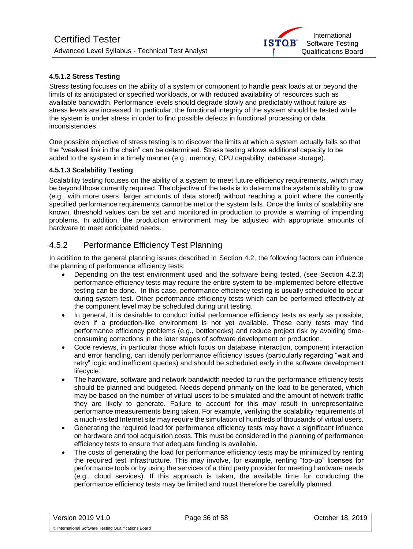

#### **4.5.1.2 Stress Testing**

Stress testing focuses on the ability of a system or component to handle peak loads at or beyond the limits of its anticipated or specified workloads, or with reduced availability of resources such as available bandwidth. Performance levels should degrade slowly and predictably without failure as stress levels are increased. In particular, the functional integrity of the system should be tested while the system is under stress in order to find possible defects in functional processing or data inconsistencies.

One possible objective of stress testing is to discover the limits at which a system actually fails so that the "weakest link in the chain" can be determined. Stress testing allows additional capacity to be added to the system in a timely manner (e.g., memory, CPU capability, database storage).

#### **4.5.1.3 Scalability Testing**

Scalability testing focuses on the ability of a system to meet future efficiency requirements, which may be beyond those currently required. The objective of the tests is to determine the system's ability to grow (e.g., with more users, larger amounts of data stored) without reaching a point where the currently specified performance requirements cannot be met or the system fails. Once the limits of scalability are known, threshold values can be set and monitored in production to provide a warning of impending problems. In addition, the production environment may be adjusted with appropriate amounts of hardware to meet anticipated needs.

### <span id="page-35-0"></span>4.5.2 Performance Efficiency Test Planning

In addition to the general planning issues described in Section 4.2, the following factors can influence the planning of performance efficiency tests:

- Depending on the test environment used and the software being tested, (see Section 4.2.3) performance efficiency tests may require the entire system to be implemented before effective testing can be done. In this case, performance efficiency testing is usually scheduled to occur during system test. Other performance efficiency tests which can be performed effectively at the component level may be scheduled during unit testing.
- In general, it is desirable to conduct initial performance efficiency tests as early as possible, even if a production-like environment is not yet available. These early tests may find performance efficiency problems (e.g., bottlenecks) and reduce project risk by avoiding timeconsuming corrections in the later stages of software development or production.
- Code reviews, in particular those which focus on database interaction, component interaction and error handling, can identify performance efficiency issues (particularly regarding "wait and retry" logic and inefficient queries) and should be scheduled early in the software development lifecycle.
- The hardware, software and network bandwidth needed to run the performance efficiency tests should be planned and budgeted. Needs depend primarily on the load to be generated, which may be based on the number of virtual users to be simulated and the amount of network traffic they are likely to generate. Failure to account for this may result in unrepresentative performance measurements being taken. For example, verifying the scalability requirements of a much-visited Internet site may require the simulation of hundreds of thousands of virtual users.
- Generating the required load for performance efficiency tests may have a significant influence on hardware and tool acquisition costs. This must be considered in the planning of performance efficiency tests to ensure that adequate funding is available.
- The costs of generating the load for performance efficiency tests may be minimized by renting the required test infrastructure. This may involve, for example, renting "top-up" licenses for performance tools or by using the services of a third party provider for meeting hardware needs (e.g., cloud services). If this approach is taken, the available time for conducting the performance efficiency tests may be limited and must therefore be carefully planned.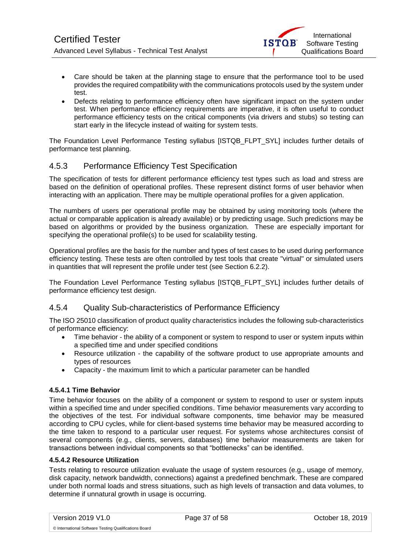

- Care should be taken at the planning stage to ensure that the performance tool to be used provides the required compatibility with the communications protocols used by the system under test.
- Defects relating to performance efficiency often have significant impact on the system under test. When performance efficiency requirements are imperative, it is often useful to conduct performance efficiency tests on the critical components (via drivers and stubs) so testing can start early in the lifecycle instead of waiting for system tests.

The Foundation Level Performance Testing syllabus [ISTQB\_FLPT\_SYL] includes further details of performance test planning.

### <span id="page-36-0"></span>4.5.3 Performance Efficiency Test Specification

The specification of tests for different performance efficiency test types such as load and stress are based on the definition of operational profiles. These represent distinct forms of user behavior when interacting with an application. There may be multiple operational profiles for a given application.

The numbers of users per operational profile may be obtained by using monitoring tools (where the actual or comparable application is already available) or by predicting usage. Such predictions may be based on algorithms or provided by the business organization. These are especially important for specifying the operational profile(s) to be used for scalability testing.

Operational profiles are the basis for the number and types of test cases to be used during performance efficiency testing. These tests are often controlled by test tools that create "virtual" or simulated users in quantities that will represent the profile under test (see Section 6.2.2).

The Foundation Level Performance Testing syllabus [ISTQB\_FLPT\_SYL] includes further details of performance efficiency test design.

#### <span id="page-36-1"></span>4.5.4 Quality Sub-characteristics of Performance Efficiency

The ISO 25010 classification of product quality characteristics includes the following sub-characteristics of performance efficiency:

- Time behavior the ability of a component or system to respond to user or system inputs within a specified time and under specified conditions
- Resource utilization the capability of the software product to use appropriate amounts and types of resources
- Capacity the maximum limit to which a particular parameter can be handled

#### **4.5.4.1 Time Behavior**

Time behavior focuses on the ability of a component or system to respond to user or system inputs within a specified time and under specified conditions. Time behavior measurements vary according to the objectives of the test. For individual software components, time behavior may be measured according to CPU cycles, while for client-based systems time behavior may be measured according to the time taken to respond to a particular user request. For systems whose architectures consist of several components (e.g., clients, servers, databases) time behavior measurements are taken for transactions between individual components so that "bottlenecks" can be identified.

#### **4.5.4.2 Resource Utilization**

Tests relating to resource utilization evaluate the usage of system resources (e.g., usage of memory, disk capacity, network bandwidth, connections) against a predefined benchmark. These are compared under both normal loads and stress situations, such as high levels of transaction and data volumes, to determine if unnatural growth in usage is occurring.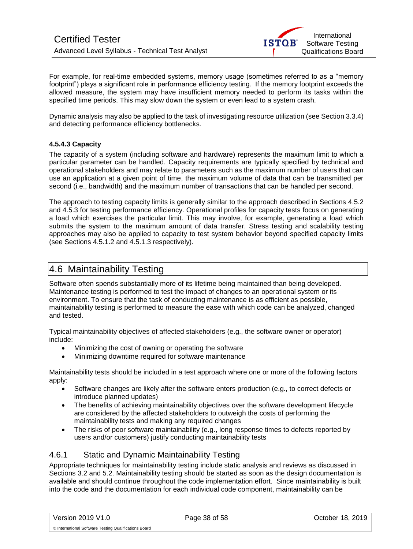

For example, for real-time embedded systems, memory usage (sometimes referred to as a "memory footprint") plays a significant role in performance efficiency testing. If the memory footprint exceeds the allowed measure, the system may have insufficient memory needed to perform its tasks within the specified time periods. This may slow down the system or even lead to a system crash.

Dynamic analysis may also be applied to the task of investigating resource utilization (see Section 3.3.4) and detecting performance efficiency bottlenecks.

#### **4.5.4.3 Capacity**

The capacity of a system (including software and hardware) represents the maximum limit to which a particular parameter can be handled. Capacity requirements are typically specified by technical and operational stakeholders and may relate to parameters such as the maximum number of users that can use an application at a given point of time, the maximum volume of data that can be transmitted per second (i.e., bandwidth) and the maximum number of transactions that can be handled per second.

The approach to testing capacity limits is generally similar to the approach described in Sections 4.5.2 and 4.5.3 for testing performance efficiency. Operational profiles for capacity tests focus on generating a load which exercises the particular limit. This may involve, for example, generating a load which submits the system to the maximum amount of data transfer. Stress testing and scalability testing approaches may also be applied to capacity to test system behavior beyond specified capacity limits (see Sections 4.5.1.2 and 4.5.1.3 respectively).

## <span id="page-37-0"></span>4.6 Maintainability Testing

Software often spends substantially more of its lifetime being maintained than being developed. Maintenance testing is performed to test the impact of changes to an operational system or its environment. To ensure that the task of conducting maintenance is as efficient as possible, maintainability testing is performed to measure the ease with which code can be analyzed, changed and tested.

Typical maintainability objectives of affected stakeholders (e.g., the software owner or operator) include:

- Minimizing the cost of owning or operating the software
- Minimizing downtime required for software maintenance

Maintainability tests should be included in a test approach where one or more of the following factors apply:

- Software changes are likely after the software enters production (e.g., to correct defects or introduce planned updates)
- The benefits of achieving maintainability objectives over the software development lifecycle are considered by the affected stakeholders to outweigh the costs of performing the maintainability tests and making any required changes
- The risks of poor software maintainability (e.g., long response times to defects reported by users and/or customers) justify conducting maintainability tests

#### <span id="page-37-1"></span>4.6.1 Static and Dynamic Maintainability Testing

Appropriate techniques for maintainability testing include static analysis and reviews as discussed in Sections 3.2 and 5.2. Maintainability testing should be started as soon as the design documentation is available and should continue throughout the code implementation effort. Since maintainability is built into the code and the documentation for each individual code component, maintainability can be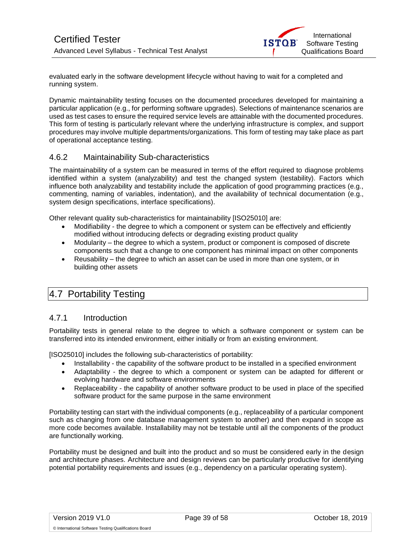

<span id="page-38-3"></span>evaluated early in the software development lifecycle without having to wait for a completed and running system.

Dynamic maintainability testing focuses on the documented procedures developed for maintaining a particular application (e.g., for performing software upgrades). Selections of maintenance scenarios are used as test cases to ensure the required service levels are attainable with the documented procedures. This form of testing is particularly relevant where the underlying infrastructure is complex, and support procedures may involve multiple departments/organizations. This form of testing may take place as part of operational acceptance testing.

#### <span id="page-38-0"></span>4.6.2 Maintainability Sub-characteristics

The maintainability of a system can be measured in terms of the effort required to diagnose problems identified within a system (analyzability) and test the changed system (testability). Factors which influence both analyzability and testability include the application of good programming practices (e.g., commenting, naming of variables, indentation), and the availability of technical documentation (e.g., system design specifications, interface specifications).

Other relevant quality sub-characteristics for maintainability [ISO25010] are:

- Modifiability the degree to which a component or system can be effectively and efficiently modified without introducing defects or degrading existing product quality
- Modularity the degree to which a system, product or component is composed of discrete components such that a change to one component has minimal impact on other components
- Reusability the degree to which an asset can be used in more than one system, or in building other assets

## <span id="page-38-1"></span>4.7 Portability Testing

#### <span id="page-38-2"></span>4.7.1 Introduction

Portability tests in general relate to the degree to which a software component or system can be transferred into its intended environment, either initially or from an existing environment.

[ISO25010] includes the following sub-characteristics of portability:

- Installability the capability of the software product to be installed in a specified environment
- Adaptability the degree to which a component or system can be adapted for different or evolving hardware and software environments
- Replaceability the capability of another software product to be used in place of the specified software product for the same purpose in the same environment

Portability testing can start with the individual components (e.g., replaceability of a particular component such as changing from one database management system to another) and then expand in scope as more code becomes available. Installability may not be testable until all the components of the product are functionally working.

Portability must be designed and built into the product and so must be considered early in the design and architecture phases. Architecture and design reviews can be particularly productive for identifying potential portability requirements and issues (e.g., dependency on a particular operating system).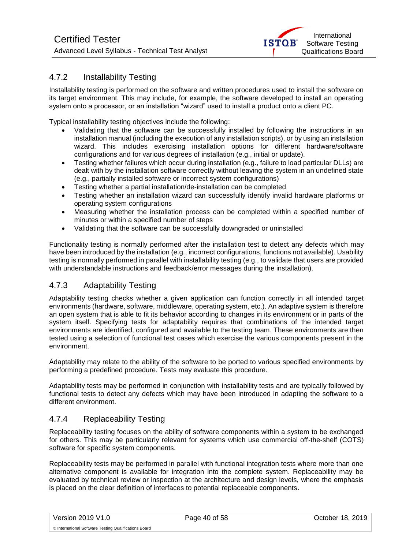### <span id="page-39-2"></span>4.7.2 Installability Testing

Installability testing is performed on the software and written procedures used to install the software on its target environment. This may include, for example, the software developed to install an operating system onto a processor, or an installation "wizard" used to install a product onto a client PC.

Typical installability testing objectives include the following:

- Validating that the software can be successfully installed by following the instructions in an installation manual (including the execution of any installation scripts), or by using an installation wizard. This includes exercising installation options for different hardware/software configurations and for various degrees of installation (e.g., initial or update).
- Testing whether failures which occur during installation (e.g., failure to load particular DLLs) are dealt with by the installation software correctly without leaving the system in an undefined state (e.g., partially installed software or incorrect system configurations)
- Testing whether a partial installation/de-installation can be completed
- Testing whether an installation wizard can successfully identify invalid hardware platforms or operating system configurations
- Measuring whether the installation process can be completed within a specified number of minutes or within a specified number of steps
- Validating that the software can be successfully downgraded or uninstalled

Functionality testing is normally performed after the installation test to detect any defects which may have been introduced by the installation (e.g., incorrect configurations, functions not available). Usability testing is normally performed in parallel with installability testing (e.g., to validate that users are provided with understandable instructions and feedback/error messages during the installation).

### <span id="page-39-0"></span>4.7.3 Adaptability Testing

Adaptability testing checks whether a given application can function correctly in all intended target environments (hardware, software, middleware, operating system, etc.). An adaptive system is therefore an open system that is able to fit its behavior according to changes in its environment or in parts of the system itself. Specifying tests for adaptability requires that combinations of the intended target environments are identified, configured and available to the testing team. These environments are then tested using a selection of functional test cases which exercise the various components present in the environment.

Adaptability may relate to the ability of the software to be ported to various specified environments by performing a predefined procedure. Tests may evaluate this procedure.

Adaptability tests may be performed in conjunction with installability tests and are typically followed by functional tests to detect any defects which may have been introduced in adapting the software to a different environment.

### <span id="page-39-1"></span>4.7.4 Replaceability Testing

Replaceability testing focuses on the ability of software components within a system to be exchanged for others. This may be particularly relevant for systems which use commercial off-the-shelf (COTS) software for specific system components.

Replaceability tests may be performed in parallel with functional integration tests where more than one alternative component is available for integration into the complete system. Replaceability may be evaluated by technical review or inspection at the architecture and design levels, where the emphasis is placed on the clear definition of interfaces to potential replaceable components.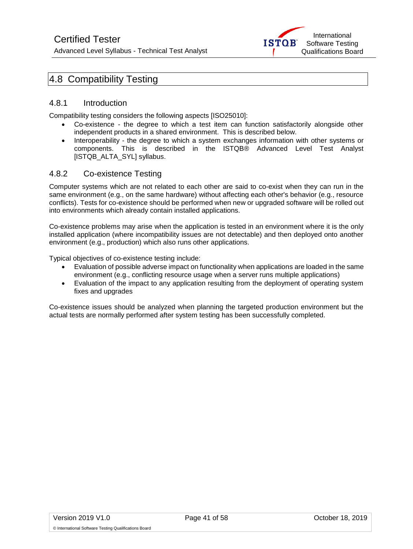

## 4.8 Compatibility Testing

#### <span id="page-40-0"></span>4.8.1 Introduction

Compatibility testing considers the following aspects [ISO25010]:

- Co-existence the degree to which a test item can function satisfactorily alongside other independent products in a shared environment. This is described below.
- Interoperability the degree to which a system exchanges information with other systems or components. This is described in the ISTQB® Advanced Level Test Analyst [ISTQB\_ALTA\_SYL] syllabus.

#### <span id="page-40-1"></span>4.8.2 Co-existence Testing

Computer systems which are not related to each other are said to co-exist when they can run in the same environment (e.g., on the same hardware) without affecting each other's behavior (e.g., resource conflicts). Tests for co-existence should be performed when new or upgraded software will be rolled out into environments which already contain installed applications.

Co-existence problems may arise when the application is tested in an environment where it is the only installed application (where incompatibility issues are not detectable) and then deployed onto another environment (e.g., production) which also runs other applications.

Typical objectives of co-existence testing include:

- Evaluation of possible adverse impact on functionality when applications are loaded in the same environment (e.g., conflicting resource usage when a server runs multiple applications)
- Evaluation of the impact to any application resulting from the deployment of operating system fixes and upgrades

Co-existence issues should be analyzed when planning the targeted production environment but the actual tests are normally performed after system testing has been successfully completed.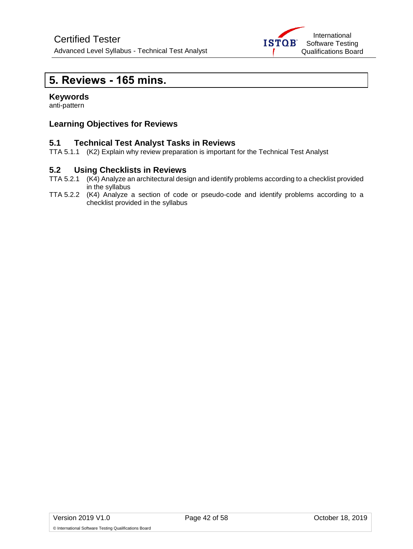

## <span id="page-41-0"></span>**5. Reviews - 165 mins.**

#### **Keywords**

anti-pattern

#### **Learning Objectives for Reviews**

#### **5.1 Technical Test Analyst Tasks in Reviews**

TTA 5.1.1 (K2) Explain why review preparation is important for the Technical Test Analyst

#### **5.2 Using Checklists in Reviews**

- TTA 5.2.1 (K4) Analyze an architectural design and identify problems according to a checklist provided in the syllabus
- TTA 5.2.2 (K4) Analyze a section of code or pseudo-code and identify problems according to a checklist provided in the syllabus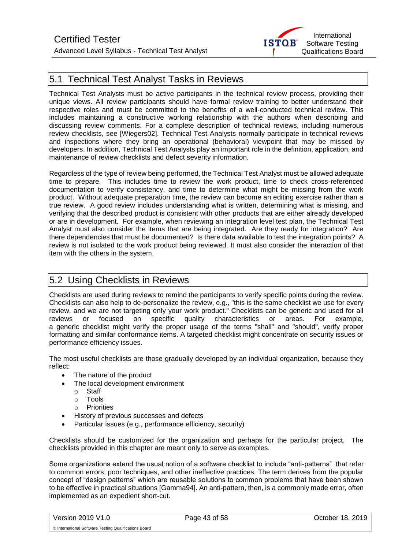

## <span id="page-42-0"></span>5.1 Technical Test Analyst Tasks in Reviews

Technical Test Analysts must be active participants in the technical review process, providing their unique views. All review participants should have formal review training to better understand their respective roles and must be committed to the benefits of a well-conducted technical review. This includes maintaining a constructive working relationship with the authors when describing and discussing review comments. For a complete description of technical reviews, including numerous review checklists, see [Wiegers02]. Technical Test Analysts normally participate in technical reviews and inspections where they bring an operational (behavioral) viewpoint that may be missed by developers. In addition, Technical Test Analysts play an important role in the definition, application, and maintenance of review checklists and defect severity information.

Regardless of the type of review being performed, the Technical Test Analyst must be allowed adequate time to prepare. This includes time to review the work product, time to check cross-referenced documentation to verify consistency, and time to determine what might be missing from the work product. Without adequate preparation time, the review can become an editing exercise rather than a true review. A good review includes understanding what is written, determining what is missing, and verifying that the described product is consistent with other products that are either already developed or are in development. For example, when reviewing an integration level test plan, the Technical Test Analyst must also consider the items that are being integrated. Are they ready for integration? Are there dependencies that must be documented? Is there data available to test the integration points? A review is not isolated to the work product being reviewed. It must also consider the interaction of that item with the others in the system.

## <span id="page-42-1"></span>5.2 Using Checklists in Reviews

Checklists are used during reviews to remind the participants to verify specific points during the review. Checklists can also help to de-personalize the review, e.g., "this is the same checklist we use for every review, and we are not targeting only your work product." Checklists can be generic and used for all reviews or focused on specific quality characteristics or areas. For example, a generic checklist might verify the proper usage of the terms "shall" and "should", verify proper formatting and similar conformance items. A targeted checklist might concentrate on security issues or performance efficiency issues.

The most useful checklists are those gradually developed by an individual organization, because they reflect:

- The nature of the product
- The local development environment
	- o Staff
	- o Tools
	- o Priorities
- History of previous successes and defects
- Particular issues (e.g., performance efficiency, security)

Checklists should be customized for the organization and perhaps for the particular project. The checklists provided in this chapter are meant only to serve as examples.

Some organizations extend the usual notion of a software checklist to include "anti-patterns" that refer to common errors, poor techniques, and other ineffective practices. The term derives from the popular concept of "design patterns" which are reusable solutions to common problems that have been shown to be effective in practical situations [Gamma94]. An anti-pattern, then, is a commonly made error, often implemented as an expedient short-cut.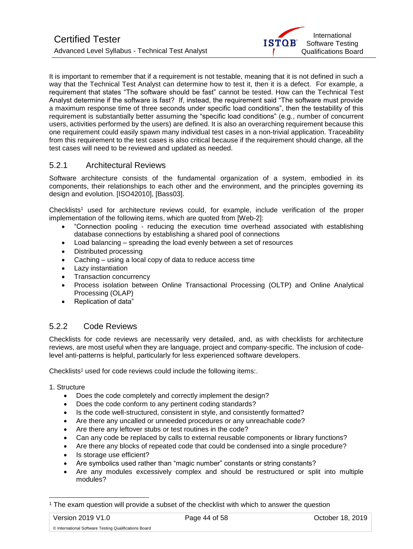It is important to remember that if a requirement is not testable, meaning that it is not defined in such a way that the Technical Test Analyst can determine how to test it, then it is a defect. For example, a requirement that states "The software should be fast" cannot be tested. How can the Technical Test Analyst determine if the software is fast? If, instead, the requirement said "The software must provide a maximum response time of three seconds under specific load conditions", then the testability of this requirement is substantially better assuming the "specific load conditions" (e.g., number of concurrent users, activities performed by the users) are defined. It is also an overarching requirement because this one requirement could easily spawn many individual test cases in a non-trivial application. Traceability from this requirement to the test cases is also critical because if the requirement should change, all the test cases will need to be reviewed and updated as needed.

### <span id="page-43-0"></span>5.2.1 Architectural Reviews

Software architecture consists of the fundamental organization of a system, embodied in its components, their relationships to each other and the environment, and the principles governing its design and evolution. [ISO42010], [Bass03].

Checklists<sup>1</sup> used for architecture reviews could, for example, include verification of the proper implementation of the following items, which are quoted from [Web-2]:

- "Connection pooling reducing the execution time overhead associated with establishing database connections by establishing a shared pool of connections
- Load balancing spreading the load evenly between a set of resources
- Distributed processing
- Caching using a local copy of data to reduce access time
- Lazy instantiation
- Transaction concurrency
- Process isolation between Online Transactional Processing (OLTP) and Online Analytical Processing (OLAP)
- Replication of data"

### <span id="page-43-1"></span>5.2.2 Code Reviews

Checklists for code reviews are necessarily very detailed, and, as with checklists for architecture reviews, are most useful when they are language, project and company-specific. The inclusion of codelevel anti-patterns is helpful, particularly for less experienced software developers.

Checklists<sup>1</sup> used for code reviews could include the following items:.

#### 1. Structure

- Does the code completely and correctly implement the design?
- Does the code conform to any pertinent coding standards?
- Is the code well-structured, consistent in style, and consistently formatted?
- Are there any uncalled or unneeded procedures or any unreachable code?
- Are there any leftover stubs or test routines in the code?
- Can any code be replaced by calls to external reusable components or library functions?
- Are there any blocks of repeated code that could be condensed into a single procedure?
- Is storage use efficient?
- Are symbolics used rather than "magic number" constants or string constants?
- Are any modules excessively complex and should be restructured or split into multiple modules?

l

<sup>1</sup> The exam question will provide a subset of the checklist with which to answer the question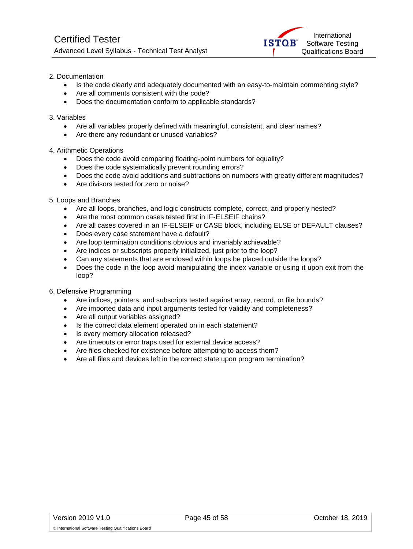#### 2. Documentation

- Is the code clearly and adequately documented with an easy-to-maintain commenting style?
- Are all comments consistent with the code?
- Does the documentation conform to applicable standards?

#### 3. Variables

- Are all variables properly defined with meaningful, consistent, and clear names?
- Are there any redundant or unused variables?

#### 4. Arithmetic Operations

- Does the code avoid comparing floating-point numbers for equality?
- Does the code systematically prevent rounding errors?
- Does the code avoid additions and subtractions on numbers with greatly different magnitudes?
- Are divisors tested for zero or noise?

#### 5. Loops and Branches

- Are all loops, branches, and logic constructs complete, correct, and properly nested?
- Are the most common cases tested first in IF-ELSEIF chains?
- Are all cases covered in an IF-ELSEIF or CASE block, including ELSE or DEFAULT clauses?
- Does every case statement have a default?
- Are loop termination conditions obvious and invariably achievable?
- Are indices or subscripts properly initialized, just prior to the loop?
- Can any statements that are enclosed within loops be placed outside the loops?
- Does the code in the loop avoid manipulating the index variable or using it upon exit from the loop?
- 6. Defensive Programming
	- Are indices, pointers, and subscripts tested against array, record, or file bounds?
	- Are imported data and input arguments tested for validity and completeness?
	- Are all output variables assigned?
	- Is the correct data element operated on in each statement?
	- Is every memory allocation released?
	- Are timeouts or error traps used for external device access?
	- Are files checked for existence before attempting to access them?
	- Are all files and devices left in the correct state upon program termination?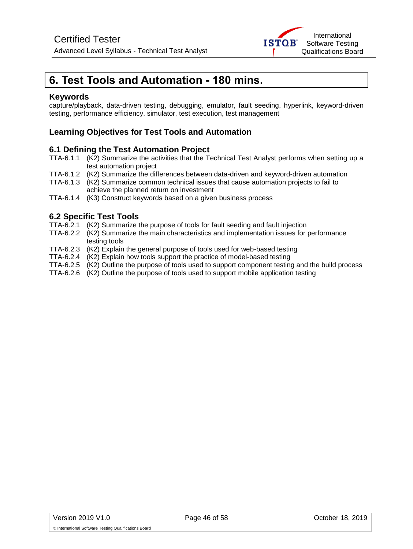

## <span id="page-45-0"></span>**6. Test Tools and Automation - 180 mins.**

#### **Keywords**

capture/playback, data-driven testing, debugging, emulator, fault seeding, hyperlink, keyword-driven testing, performance efficiency, simulator, test execution, test management

#### **Learning Objectives for Test Tools and Automation**

#### **6.1 Defining the Test Automation Project**

- TTA-6.1.1 (K2) Summarize the activities that the Technical Test Analyst performs when setting up a test automation project
- TTA-6.1.2 (K2) Summarize the differences between data-driven and keyword-driven automation
- TTA-6.1.3 (K2) Summarize common technical issues that cause automation projects to fail to achieve the planned return on investment
- TTA-6.1.4 (K3) Construct keywords based on a given business process

#### **6.2 Specific Test Tools**

- TTA-6.2.1 (K2) Summarize the purpose of tools for fault seeding and fault injection
- TTA-6.2.2 (K2) Summarize the main characteristics and implementation issues for performance testing tools
- TTA-6.2.3 (K2) Explain the general purpose of tools used for web-based testing
- TTA-6.2.4 (K2) Explain how tools support the practice of model-based testing
- TTA-6.2.5 (K2) Outline the purpose of tools used to support component testing and the build process
- TTA-6.2.6 (K2) Outline the purpose of tools used to support mobile application testing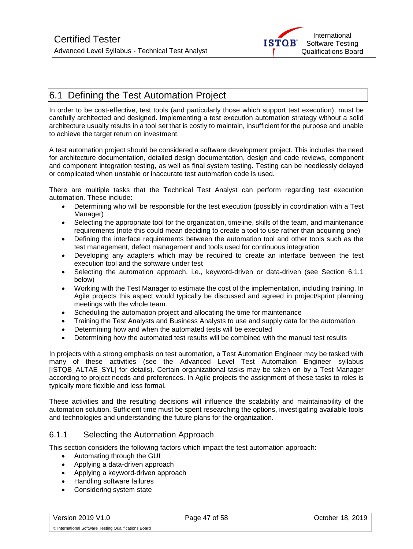

## <span id="page-46-0"></span>6.1 Defining the Test Automation Project

In order to be cost-effective, test tools (and particularly those which support test execution), must be carefully architected and designed. Implementing a test execution automation strategy without a solid architecture usually results in a tool set that is costly to maintain, insufficient for the purpose and unable to achieve the target return on investment.

A test automation project should be considered a software development project. This includes the need for architecture documentation, detailed design documentation, design and code reviews, component and component integration testing, as well as final system testing. Testing can be needlessly delayed or complicated when unstable or inaccurate test automation code is used.

There are multiple tasks that the Technical Test Analyst can perform regarding test execution automation. These include:

- Determining who will be responsible for the test execution (possibly in coordination with a Test Manager)
- Selecting the appropriate tool for the organization, timeline, skills of the team, and maintenance requirements (note this could mean deciding to create a tool to use rather than acquiring one)
- Defining the interface requirements between the automation tool and other tools such as the test management, defect management and tools used for continuous integration
- Developing any adapters which may be required to create an interface between the test execution tool and the software under test
- Selecting the automation approach, i.e., keyword-driven or data-driven (see Section 6.1.1 below)
- Working with the Test Manager to estimate the cost of the implementation, including training. In Agile projects this aspect would typically be discussed and agreed in project/sprint planning meetings with the whole team.
- Scheduling the automation project and allocating the time for maintenance
- Training the Test Analysts and Business Analysts to use and supply data for the automation
- Determining how and when the automated tests will be executed
- Determining how the automated test results will be combined with the manual test results

In projects with a strong emphasis on test automation, a Test Automation Engineer may be tasked with many of these activities (see the Advanced Level Test Automation Engineer syllabus [ISTQB\_ALTAE\_SYL] for details). Certain organizational tasks may be taken on by a Test Manager according to project needs and preferences. In Agile projects the assignment of these tasks to roles is typically more flexible and less formal.

These activities and the resulting decisions will influence the scalability and maintainability of the automation solution. Sufficient time must be spent researching the options, investigating available tools and technologies and understanding the future plans for the organization.

#### <span id="page-46-1"></span>6.1.1 Selecting the Automation Approach

This section considers the following factors which impact the test automation approach:

- Automating through the GUI
- Applying a data-driven approach
- Applying a keyword-driven approach
- Handling software failures
- Considering system state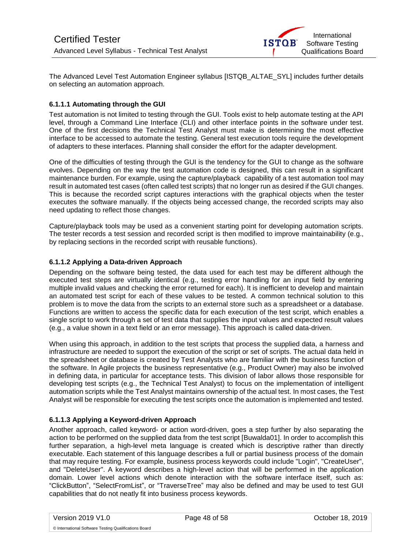

The Advanced Level Test Automation Engineer syllabus [ISTQB\_ALTAE\_SYL] includes further details on selecting an automation approach.

#### **6.1.1.1 Automating through the GUI**

Test automation is not limited to testing through the GUI. Tools exist to help automate testing at the API level, through a Command Line Interface (CLI) and other interface points in the software under test. One of the first decisions the Technical Test Analyst must make is determining the most effective interface to be accessed to automate the testing. General test execution tools require the development of adapters to these interfaces. Planning shall consider the effort for the adapter development.

One of the difficulties of testing through the GUI is the tendency for the GUI to change as the software evolves. Depending on the way the test automation code is designed, this can result in a significant maintenance burden. For example, using the capture/playback capability of a test automation tool may result in automated test cases (often called test scripts) that no longer run as desired if the GUI changes. This is because the recorded script captures interactions with the graphical objects when the tester executes the software manually. If the objects being accessed change, the recorded scripts may also need updating to reflect those changes.

Capture/playback tools may be used as a convenient starting point for developing automation scripts. The tester records a test session and recorded script is then modified to improve maintainability (e.g., by replacing sections in the recorded script with reusable functions).

#### **6.1.1.2 Applying a Data-driven Approach**

Depending on the software being tested, the data used for each test may be different although the executed test steps are virtually identical (e.g., testing error handling for an input field by entering multiple invalid values and checking the error returned for each). It is inefficient to develop and maintain an automated test script for each of these values to be tested. A common technical solution to this problem is to move the data from the scripts to an external store such as a spreadsheet or a database. Functions are written to access the specific data for each execution of the test script, which enables a single script to work through a set of test data that supplies the input values and expected result values (e.g., a value shown in a text field or an error message). This approach is called data-driven.

When using this approach, in addition to the test scripts that process the supplied data, a harness and infrastructure are needed to support the execution of the script or set of scripts. The actual data held in the spreadsheet or database is created by Test Analysts who are familiar with the business function of the software. In Agile projects the business representative (e.g., Product Owner) may also be involved in defining data, in particular for acceptance tests. This division of labor allows those responsible for developing test scripts (e.g., the Technical Test Analyst) to focus on the implementation of intelligent automation scripts while the Test Analyst maintains ownership of the actual test. In most cases, the Test Analyst will be responsible for executing the test scripts once the automation is implemented and tested.

#### **6.1.1.3 Applying a Keyword-driven Approach**

Another approach, called keyword- or action word-driven, goes a step further by also separating the action to be performed on the supplied data from the test script [Buwalda01]. In order to accomplish this further separation, a high-level meta language is created which is descriptive rather than directly executable. Each statement of this language describes a full or partial business process of the domain that may require testing. For example, business process keywords could include "Login", "CreateUser", and "DeleteUser". A keyword describes a high-level action that will be performed in the application domain. Lower level actions which denote interaction with the software interface itself, such as: "ClickButton", "SelectFromList", or "TraverseTree" may also be defined and may be used to test GUI capabilities that do not neatly fit into business process keywords.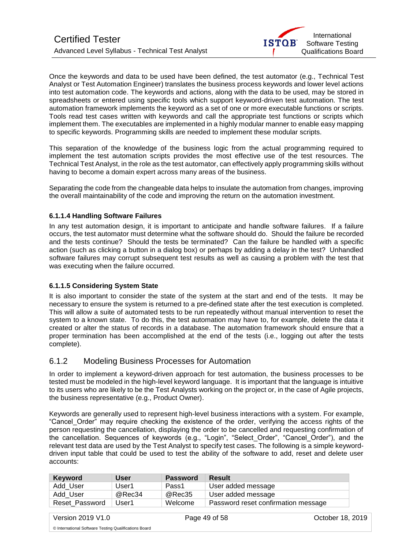Once the keywords and data to be used have been defined, the test automator (e.g., Technical Test Analyst or Test Automation Engineer) translates the business process keywords and lower level actions into test automation code. The keywords and actions, along with the data to be used, may be stored in spreadsheets or entered using specific tools which support keyword-driven test automation. The test automation framework implements the keyword as a set of one or more executable functions or scripts. Tools read test cases written with keywords and call the appropriate test functions or scripts which implement them. The executables are implemented in a highly modular manner to enable easy mapping to specific keywords. Programming skills are needed to implement these modular scripts.

This separation of the knowledge of the business logic from the actual programming required to implement the test automation scripts provides the most effective use of the test resources. The Technical Test Analyst, in the role as the test automator, can effectively apply programming skills without having to become a domain expert across many areas of the business.

Separating the code from the changeable data helps to insulate the automation from changes, improving the overall maintainability of the code and improving the return on the automation investment.

#### **6.1.1.4 Handling Software Failures**

In any test automation design, it is important to anticipate and handle software failures. If a failure occurs, the test automator must determine what the software should do. Should the failure be recorded and the tests continue? Should the tests be terminated? Can the failure be handled with a specific action (such as clicking a button in a dialog box) or perhaps by adding a delay in the test? Unhandled software failures may corrupt subsequent test results as well as causing a problem with the test that was executing when the failure occurred.

#### **6.1.1.5 Considering System State**

It is also important to consider the state of the system at the start and end of the tests. It may be necessary to ensure the system is returned to a pre-defined state after the test execution is completed. This will allow a suite of automated tests to be run repeatedly without manual intervention to reset the system to a known state. To do this, the test automation may have to, for example, delete the data it created or alter the status of records in a database. The automation framework should ensure that a proper termination has been accomplished at the end of the tests (i.e., logging out after the tests complete).

### <span id="page-48-0"></span>6.1.2 Modeling Business Processes for Automation

In order to implement a keyword-driven approach for test automation, the business processes to be tested must be modeled in the high-level keyword language. It is important that the language is intuitive to its users who are likely to be the Test Analysts working on the project or, in the case of Agile projects, the business representative (e.g., Product Owner).

Keywords are generally used to represent high-level business interactions with a system. For example, "Cancel\_Order" may require checking the existence of the order, verifying the access rights of the person requesting the cancellation, displaying the order to be cancelled and requesting confirmation of the cancellation. Sequences of keywords (e.g., "Login", "Select\_Order", "Cancel\_Order"), and the relevant test data are used by the Test Analyst to specify test cases. The following is a simple keyworddriven input table that could be used to test the ability of the software to add, reset and delete user accounts:

| <b>Keyword</b> | <b>User</b> | <b>Password</b> | Result                              |
|----------------|-------------|-----------------|-------------------------------------|
| Add User       | User1       | Pass1           | User added message                  |
| Add User       | @Rec34      | @Rec35          | User added message                  |
| Reset Password | User1       | Welcome         | Password reset confirmation message |

Version 2019 V1.0 Page 49 of 58 October 18, 2019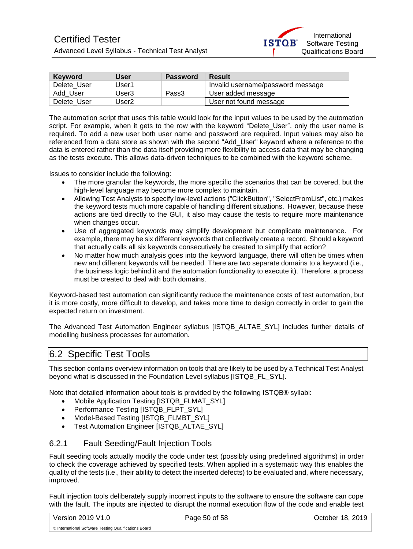

| <b>Keyword</b> | User  | <b>Password</b> | <b>Result</b>                     |
|----------------|-------|-----------------|-----------------------------------|
| Delete User    | User1 |                 | Invalid username/password message |
| Add User       | User3 | Pass3           | User added message                |
| Delete User    | Jser2 |                 | User not found message            |

The automation script that uses this table would look for the input values to be used by the automation script. For example, when it gets to the row with the keyword "Delete User", only the user name is required. To add a new user both user name and password are required. Input values may also be referenced from a data store as shown with the second "Add\_User" keyword where a reference to the data is entered rather than the data itself providing more flexibility to access data that may be changing as the tests execute. This allows data-driven techniques to be combined with the keyword scheme.

Issues to consider include the following:

- The more granular the keywords, the more specific the scenarios that can be covered, but the high-level language may become more complex to maintain.
- Allowing Test Analysts to specify low-level actions ("ClickButton", "SelectFromList", etc.) makes the keyword tests much more capable of handling different situations. However, because these actions are tied directly to the GUI, it also may cause the tests to require more maintenance when changes occur.
- Use of aggregated keywords may simplify development but complicate maintenance. For example, there may be six different keywords that collectively create a record. Should a keyword that actually calls all six keywords consecutively be created to simplify that action?
- No matter how much analysis goes into the keyword language, there will often be times when new and different keywords will be needed. There are two separate domains to a keyword (i.e., the business logic behind it and the automation functionality to execute it). Therefore, a process must be created to deal with both domains.

Keyword-based test automation can significantly reduce the maintenance costs of test automation, but it is more costly, more difficult to develop, and takes more time to design correctly in order to gain the expected return on investment.

The Advanced Test Automation Engineer syllabus [ISTQB\_ALTAE\_SYL] includes further details of modelling business processes for automation.

## <span id="page-49-0"></span>6.2 Specific Test Tools

This section contains overview information on tools that are likely to be used by a Technical Test Analyst beyond what is discussed in the Foundation Level syllabus [ISTQB\_FL\_SYL].

Note that detailed information about tools is provided by the following ISTQB® syllabi:

- Mobile Application Testing [ISTQB\_FLMAT\_SYL]
- Performance Testing [ISTQB\_FLPT\_SYL]
- Model-Based Testing [ISTQB\_FLMBT\_SYL]
- Test Automation Engineer [ISTQB\_ALTAE\_SYL]

#### <span id="page-49-1"></span>6.2.1 Fault Seeding/Fault Injection Tools

Fault seeding tools actually modify the code under test (possibly using predefined algorithms) in order to check the coverage achieved by specified tests. When applied in a systematic way this enables the quality of the tests (i.e., their ability to detect the inserted defects) to be evaluated and, where necessary, improved.

Fault injection tools deliberately supply incorrect inputs to the software to ensure the software can cope with the fault. The inputs are injected to disrupt the normal execution flow of the code and enable test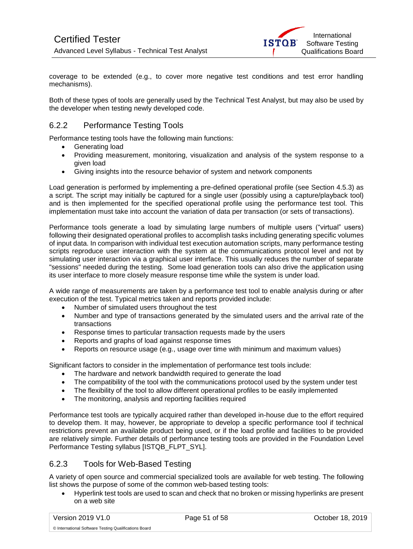coverage to be extended (e.g., to cover more negative test conditions and test error handling mechanisms).

Both of these types of tools are generally used by the Technical Test Analyst, but may also be used by the developer when testing newly developed code.

### <span id="page-50-0"></span>6.2.2 Performance Testing Tools

Performance testing tools have the following main functions:

- Generating load
- Providing measurement, monitoring, visualization and analysis of the system response to a given load
- Giving insights into the resource behavior of system and network components

Load generation is performed by implementing a pre-defined operational profile (see Section 4.5.3) as a script. The script may initially be captured for a single user (possibly using a capture/playback tool) and is then implemented for the specified operational profile using the performance test tool. This implementation must take into account the variation of data per transaction (or sets of transactions).

Performance tools generate a load by simulating large numbers of multiple users ("virtual" users) following their designated operational profiles to accomplish tasks including generating specific volumes of input data. In comparison with individual test execution automation scripts, many performance testing scripts reproduce user interaction with the system at the communications protocol level and not by simulating user interaction via a graphical user interface. This usually reduces the number of separate "sessions" needed during the testing. Some load generation tools can also drive the application using its user interface to more closely measure response time while the system is under load.

A wide range of measurements are taken by a performance test tool to enable analysis during or after execution of the test. Typical metrics taken and reports provided include:

- Number of simulated users throughout the test
- Number and type of transactions generated by the simulated users and the arrival rate of the transactions
- Response times to particular transaction requests made by the users
- Reports and graphs of load against response times
- Reports on resource usage (e.g., usage over time with minimum and maximum values)

Significant factors to consider in the implementation of performance test tools include:

- The hardware and network bandwidth required to generate the load
- The compatibility of the tool with the communications protocol used by the system under test
- The flexibility of the tool to allow different operational profiles to be easily implemented
- The monitoring, analysis and reporting facilities required

Performance test tools are typically acquired rather than developed in-house due to the effort required to develop them. It may, however, be appropriate to develop a specific performance tool if technical restrictions prevent an available product being used, or if the load profile and facilities to be provided are relatively simple. Further details of performance testing tools are provided in the Foundation Level Performance Testing syllabus [ISTQB\_FLPT\_SYL].

### <span id="page-50-1"></span>6.2.3 Tools for Web-Based Testing

A variety of open source and commercial specialized tools are available for web testing. The following list shows the purpose of some of the common web-based testing tools:

• Hyperlink test tools are used to scan and check that no broken or missing hyperlinks are present on a web site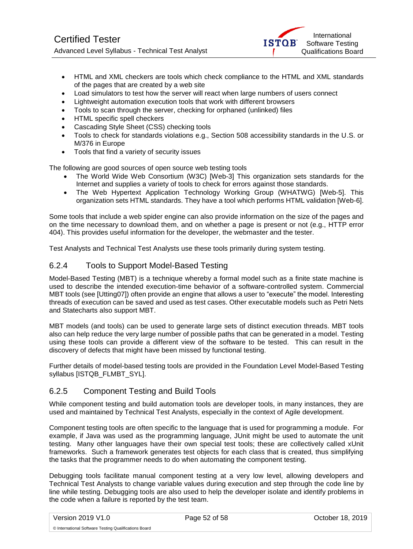

- HTML and XML checkers are tools which check compliance to the HTML and XML standards of the pages that are created by a web site
- Load simulators to test how the server will react when large numbers of users connect
- Lightweight automation execution tools that work with different browsers
- Tools to scan through the server, checking for orphaned (unlinked) files
- HTML specific spell checkers
- Cascading Style Sheet (CSS) checking tools
- Tools to check for standards violations e.g., Section 508 accessibility standards in the U.S. or M/376 in Europe
- Tools that find a variety of security issues

The following are good sources of open source web testing tools

- The World Wide Web Consortium (W3C) [Web-3] This organization sets standards for the Internet and supplies a variety of tools to check for errors against those standards.
- The Web Hypertext Application Technology Working Group (WHATWG) [Web-5]. This organization sets HTML standards. They have a tool which performs HTML validation [Web-6].

Some tools that include a web spider engine can also provide information on the size of the pages and on the time necessary to download them, and on whether a page is present or not (e.g., HTTP error 404). This provides useful information for the developer, the webmaster and the tester.

Test Analysts and Technical Test Analysts use these tools primarily during system testing.

#### <span id="page-51-0"></span>6.2.4 Tools to Support Model-Based Testing

Model-Based Testing (MBT) is a technique whereby a formal model such as a finite state machine is used to describe the intended execution-time behavior of a software-controlled system. Commercial MBT tools (see [Utting07]) often provide an engine that allows a user to "execute" the model. Interesting threads of execution can be saved and used as test cases. Other executable models such as Petri Nets and Statecharts also support MBT.

MBT models (and tools) can be used to generate large sets of distinct execution threads. MBT tools also can help reduce the very large number of possible paths that can be generated in a model. Testing using these tools can provide a different view of the software to be tested. This can result in the discovery of defects that might have been missed by functional testing.

Further details of model-based testing tools are provided in the Foundation Level Model-Based Testing syllabus [ISTQB\_FLMBT\_SYL].

#### <span id="page-51-1"></span>6.2.5 Component Testing and Build Tools

While component testing and build automation tools are developer tools, in many instances, they are used and maintained by Technical Test Analysts, especially in the context of Agile development.

Component testing tools are often specific to the language that is used for programming a module. For example, if Java was used as the programming language, JUnit might be used to automate the unit testing. Many other languages have their own special test tools; these are collectively called xUnit frameworks. Such a framework generates test objects for each class that is created, thus simplifying the tasks that the programmer needs to do when automating the component testing.

Debugging tools facilitate manual component testing at a very low level, allowing developers and Technical Test Analysts to change variable values during execution and step through the code line by line while testing. Debugging tools are also used to help the developer isolate and identify problems in the code when a failure is reported by the test team.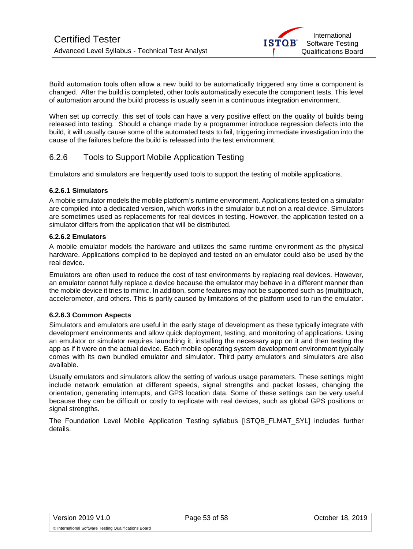Build automation tools often allow a new build to be automatically triggered any time a component is changed. After the build is completed, other tools automatically execute the component tests. This level of automation around the build process is usually seen in a continuous integration environment.

When set up correctly, this set of tools can have a very positive effect on the quality of builds being released into testing. Should a change made by a programmer introduce regression defects into the build, it will usually cause some of the automated tests to fail, triggering immediate investigation into the cause of the failures before the build is released into the test environment.

### <span id="page-52-0"></span>6.2.6 Tools to Support Mobile Application Testing

Emulators and simulators are frequently used tools to support the testing of mobile applications.

#### **6.2.6.1 Simulators**

A mobile simulator models the mobile platform's runtime environment. Applications tested on a simulator are compiled into a dedicated version, which works in the simulator but not on a real device. Simulators are sometimes used as replacements for real devices in testing. However, the application tested on a simulator differs from the application that will be distributed.

#### **6.2.6.2 Emulators**

A mobile emulator models the hardware and utilizes the same runtime environment as the physical hardware. Applications compiled to be deployed and tested on an emulator could also be used by the real device.

Emulators are often used to reduce the cost of test environments by replacing real devices. However, an emulator cannot fully replace a device because the emulator may behave in a different manner than the mobile device it tries to mimic. In addition, some features may not be supported such as (multi)touch, accelerometer, and others. This is partly caused by limitations of the platform used to run the emulator.

#### **6.2.6.3 Common Aspects**

Simulators and emulators are useful in the early stage of development as these typically integrate with development environments and allow quick deployment, testing, and monitoring of applications. Using an emulator or simulator requires launching it, installing the necessary app on it and then testing the app as if it were on the actual device. Each mobile operating system development environment typically comes with its own bundled emulator and simulator. Third party emulators and simulators are also available.

Usually emulators and simulators allow the setting of various usage parameters. These settings might include network emulation at different speeds, signal strengths and packet losses, changing the orientation, generating interrupts, and GPS location data. Some of these settings can be very useful because they can be difficult or costly to replicate with real devices, such as global GPS positions or signal strengths.

The Foundation Level Mobile Application Testing syllabus [ISTQB\_FLMAT\_SYL] includes further details.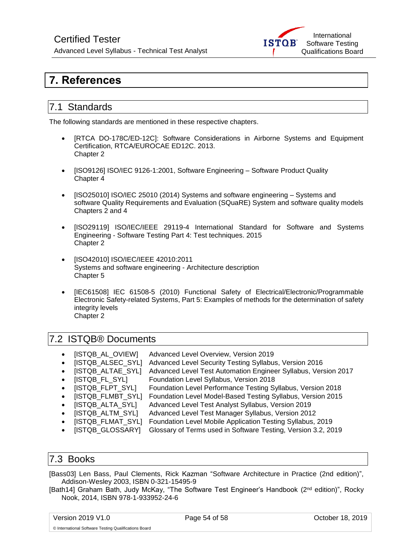## Certified Tester

Advanced Level Syllabus - Technical Test Analyst



## <span id="page-53-0"></span>**7. References**

## <span id="page-53-1"></span>7.1 Standards

The following standards are mentioned in these respective chapters.

- [RTCA DO-178C/ED-12C]: Software Considerations in Airborne Systems and Equipment Certification, RTCA/EUROCAE ED12C. 2013. Chapter 2
- [ISO9126] ISO/IEC 9126-1:2001, Software Engineering Software Product Quality Chapter 4
- [ISO25010] ISO/IEC 25010 (2014) Systems and software engineering Systems and software Quality Requirements and Evaluation (SQuaRE) System and software quality models Chapters 2 and 4
- [ISO29119] ISO/IEC/IEEE 29119-4 International Standard for Software and Systems Engineering - Software Testing Part 4: Test techniques. 2015 Chapter 2
- [ISO42010] ISO/IEC/IEEE 42010:2011 Systems and software engineering - Architecture description Chapter 5
- [IEC61508] IEC 61508-5 (2010) Functional Safety of Electrical/Electronic/Programmable Electronic Safety-related Systems, Part 5: Examples of methods for the determination of safety integrity levels Chapter 2

### <span id="page-53-2"></span>7.2 ISTQB® Documents

- [ISTQB\_AL\_OVIEW] Advanced Level Overview, Version 2019
- [ISTQB\_ALSEC\_SYL] Advanced Level Security Testing Syllabus, Version 2016
- [ISTQB\_ALTAE\_SYL] Advanced Level Test Automation Engineer Syllabus, Version 2017
- [ISTQB\_FL\_SYL] Foundation Level Syllabus, Version 2018
- [ISTQB\_FLPT\_SYL] Foundation Level Performance Testing Syllabus, Version 2018
- [ISTQB\_FLMBT\_SYL] Foundation Level Model-Based Testing Syllabus, Version 2015
- [ISTQB\_ALTA\_SYL] Advanced Level Test Analyst Syllabus, Version 2019
- [ISTQB\_ALTM\_SYL] Advanced Level Test Manager Syllabus, Version 2012
- [ISTQB\_FLMAT\_SYL] Foundation Level Mobile Application Testing Syllabus, 2019
- [ISTQB\_GLOSSARY] Glossary of Terms used in Software Testing, Version 3.2, 2019

### <span id="page-53-3"></span>7.3 Books

[Bass03] Len Bass, Paul Clements, Rick Kazman ["Software Architecture in Practice \(2nd edition\)"](http://www.sei.cmu.edu/library/abstracts/books/0321154959.cfm), Addison-Wesley 2003, ISBN 0-321-15495-9

[Bath14] Graham Bath, Judy McKay, "The Software Test Engineer's Handbook (2nd edition)", Rocky Nook, 2014, ISBN 978-1-933952-24-6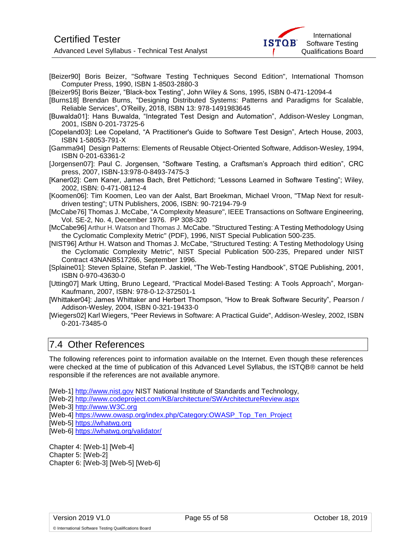Advanced Level Syllabus - Technical Test Analyst



[Beizer90] Boris Beizer, "Software Testing Techniques Second Edition", International Thomson Computer Press, 1990, ISBN 1-8503-2880-3

[Beizer95] Boris Beizer, "Black-box Testing", John Wiley & Sons, 1995, ISBN 0-471-12094-4

- [Burns18] Brendan Burns, "Designing Distributed Systems: Patterns and Paradigms for Scalable, Reliable Services", O'Reilly, 2018, ISBN 13: 978-1491983645
- [Buwalda01]: Hans Buwalda, "Integrated Test Design and Automation", Addison-Wesley Longman, 2001, ISBN 0-201-73725-6
- [Copeland03]: Lee Copeland, "A Practitioner's Guide to Software Test Design", Artech House, 2003, ISBN 1-58053-791-X
- [Gamma94] Design Patterns: Elements of Reusable Object-Oriented Software, Addison-Wesley, 1994, ISBN 0-201-63361-2
- [Jorgensen07]: Paul C. Jorgensen, "Software Testing, a Craftsman's Approach third edition", CRC press, 2007, ISBN-13:978-0-8493-7475-3
- [Kaner02]: Cem Kaner, James Bach, Bret Pettichord; "Lessons Learned in Software Testing"; Wiley, 2002, ISBN: 0-471-08112-4
- [Koomen06]: Tim Koomen, Leo van der Aalst, Bart Broekman, Michael Vroon, "TMap Next for resultdriven testing"; UTN Publishers, 2006, ISBN: 90-72194-79-9
- [McCabe76] Thomas J. McCabe, "A Complexity Measure", IEEE Transactions on Software Engineering, Vol. SE-2, No. 4, December 1976. PP 308-320
- [McCabe96] Arthur H. Watson and Thomas J. McCabe[. "Structured Testing: A Testing Methodology Using](http://www.mccabe.com/pdf/mccabe-nist235r.pdf)  [the Cyclomatic Complexity Metric"](http://www.mccabe.com/pdf/mccabe-nist235r.pdf) (PDF), 1996, NIST Special Publication 500-235.
- [NIST96] Arthur H. Watson and Thomas J. McCabe, "Structured Testing: A Testing Methodology Using the Cyclomatic Complexity Metric", NIST Special Publication 500-235, Prepared under NIST Contract 43NANB517266, September 1996.
- [Splaine01]: Steven Splaine, Stefan P. Jaskiel, "The Web-Testing Handbook", STQE Publishing, 2001, ISBN 0-970-43630-0
- [Utting07] Mark Utting, Bruno Legeard, ["Practical Model-Based Testing: A Tools Approach"](http://www.amazon.com/gp/redirect.html?link_code=ur2&tag=markuttinsweb-20&camp=1789&creative=9325&location=%2FPractical-Model-Based-Testing-Tools-Approach%2Fdp%2F0123725011%2Fsr%3D1-1%2Fqid%3D1157585827%2Fref%3Dsr_1_1%3Fie%3DUTF8%26s%3Dbooks), Morgan-Kaufmann, 2007, ISBN: 978-0-12-372501-1
- [Whittaker04]: James Whittaker and Herbert Thompson, "How to Break Software Security", Pearson / Addison-Wesley, 2004, ISBN 0-321-19433-0
- [Wiegers02] Karl Wiegers, "Peer Reviews in Software: A Practical Guide", Addison-Wesley, 2002, ISBN 0-201-73485-0

### <span id="page-54-0"></span>7.4 Other References

The following references point to information available on the Internet. Even though these references were checked at the time of publication of this Advanced Level Syllabus, the ISTQB® cannot be held responsible if the references are not available anymore.

[Web-1] [http://www.nist.gov](http://www.nist.gov/) NIST National Institute of Standards and Technology,

- [Web-2]<http://www.codeproject.com/KB/architecture/SWArchitectureReview.aspx>
- [Web-3] [http://www.W3C.org](http://www.w3c.org/)

[Web-4] [https://www.owasp.org/index.php/Category:OWASP\\_Top\\_Ten\\_Project](https://www.owasp.org/index.php/Category:OWASP_Top_Ten_Project)

- [Web-5] [https://whatwg.org](https://whatwg.org/)
- [Web-6] <https://whatwg.org/validator/>

Chapter 4: [Web-1] [Web-4] Chapter 5: [Web-2] Chapter 6: [Web-3] [Web-5] [Web-6]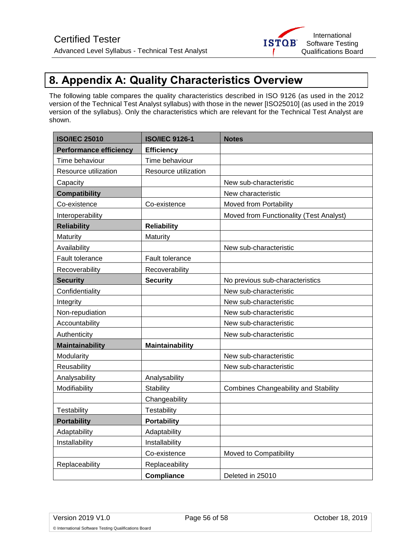## <span id="page-55-0"></span>**8. Appendix A: Quality Characteristics Overview**

The following table compares the quality characteristics described in ISO 9126 (as used in the 2012 version of the Technical Test Analyst syllabus) with those in the newer [ISO25010] (as used in the 2019 version of the syllabus). Only the characteristics which are relevant for the Technical Test Analyst are shown.

| <b>ISO/IEC 25010</b>          | <b>ISO/IEC 9126-1</b> | <b>Notes</b>                                |
|-------------------------------|-----------------------|---------------------------------------------|
| <b>Performance efficiency</b> | <b>Efficiency</b>     |                                             |
| Time behaviour                | Time behaviour        |                                             |
| Resource utilization          | Resource utilization  |                                             |
| Capacity                      |                       | New sub-characteristic                      |
| <b>Compatibility</b>          |                       | New characteristic                          |
| Co-existence                  | Co-existence          | Moved from Portability                      |
| Interoperability              |                       | Moved from Functionality (Test Analyst)     |
| <b>Reliability</b>            | <b>Reliability</b>    |                                             |
| Maturity                      | Maturity              |                                             |
| Availability                  |                       | New sub-characteristic                      |
| Fault tolerance               | Fault tolerance       |                                             |
| Recoverability                | Recoverability        |                                             |
| <b>Security</b>               | <b>Security</b>       | No previous sub-characteristics             |
| Confidentiality               |                       | New sub-characteristic                      |
| Integrity                     |                       | New sub-characteristic                      |
| Non-repudiation               |                       | New sub-characteristic                      |
| Accountability                |                       | New sub-characteristic                      |
| Authenticity                  |                       | New sub-characteristic                      |
| <b>Maintainability</b>        | Maintainability       |                                             |
| Modularity                    |                       | New sub-characteristic                      |
| Reusability                   |                       | New sub-characteristic                      |
| Analysability                 | Analysability         |                                             |
| Modifiability                 | Stability             | <b>Combines Changeability and Stability</b> |
|                               | Changeability         |                                             |
| Testability                   | Testability           |                                             |
| <b>Portability</b>            | <b>Portability</b>    |                                             |
| Adaptability                  | Adaptability          |                                             |
| Installability                | Installability        |                                             |
|                               | Co-existence          | Moved to Compatibility                      |
| Replaceability                | Replaceability        |                                             |
|                               | <b>Compliance</b>     | Deleted in 25010                            |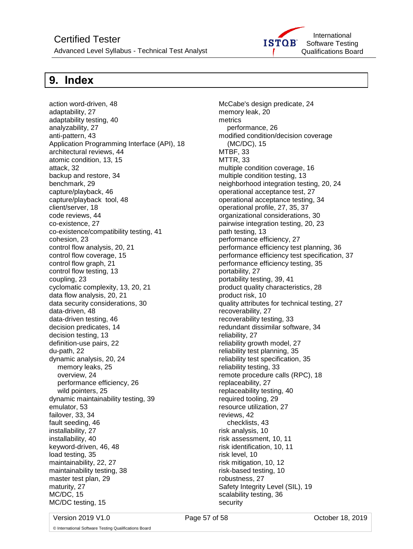## Certified Tester

Advanced Level Syllabus - Technical Test Analyst



## <span id="page-56-0"></span>**9. Index**

action word-driven, 48 adaptability, 27 adaptability testing, 40 analyzability, 27 anti-pattern, 43 Application Programming Interface (API), 18 architectural reviews, 44 atomic condition, 13, 15 attack, 32 backup and restore, 34 benchmark, 29 capture/playback, 46 capture/playback tool, 48 client/server, 18 code reviews, 44 co-existence, 27 co-existence/compatibility testing, 41 cohesion, 23 control flow analysis, 20, 21 control flow coverage, 15 control flow graph, 21 control flow testing, 13 coupling, 23 cyclomatic complexity, 13, 20, 21 data flow analysis, 20, 21 data security considerations, 30 data-driven, 48 data-driven testing, 46 decision predicates, 14 decision testing, 13 definition-use pairs, 22 du-path, 22 dynamic analysis, 20, 24 memory leaks, 25 overview, 24 performance efficiency, 26 wild pointers, 25 dynamic maintainability testing, 39 emulator, 53 failover, 33, 34 fault seeding, 46 installability, 27 installability, 40 keyword-driven, 46, 48 load testing, 35 maintainability, 22, 27 maintainability testing, 38 master test plan, 29 maturity, 27 MC/DC, 15 MC/DC testing, 15

McCabe's design predicate, 24 memory leak, 20 metrics performance, 26 modified condition/decision coverage (MC/DC), 15 MTBF, 33 MTTR, 33 multiple condition coverage, 16 multiple condition testing, 13 neighborhood integration testing, 20, 24 operational acceptance test, 27 operational acceptance testing, 34 operational profile, 27, 35, 37 organizational considerations, 30 pairwise integration testing, 20, 23 path testing, 13 performance efficiency, 27 performance efficiency test planning, 36 performance efficiency test specification, 37 performance efficiency testing, 35 portability, 27 portability testing, 39, 41 product quality characteristics, 28 product risk, 10 quality attributes for technical testing, 27 recoverability, 27 recoverability testing, 33 redundant dissimilar software, 34 reliability, 27 reliability growth model, 27 reliability test planning, 35 reliability test specification, 35 reliability testing, 33 remote procedure calls (RPC), 18 replaceability, 27 replaceability testing, 40 required tooling, 29 resource utilization, 27 reviews, 42 checklists, 43 risk analysis, 10 risk assessment, 10, 11 risk identification, 10, 11 risk level, 10 risk mitigation, 10, 12 risk-based testing, 10 robustness, 27 Safety Integrity Level (SIL), 19 scalability testing, 36 security

Version 2019 V1.0 Page 57 of 58 October 18, 2019